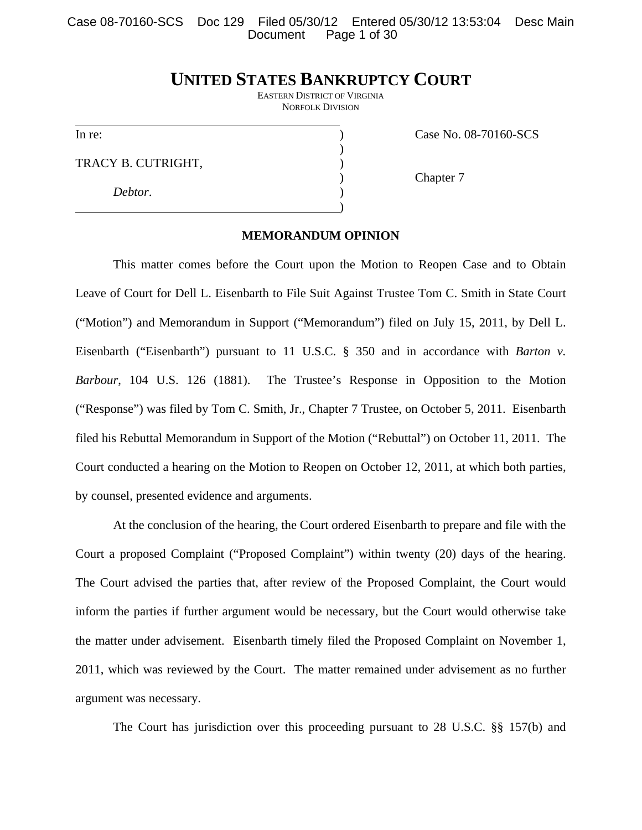Case 08-70160-SCS Doc 129 Filed 05/30/12 Entered 05/30/12 13:53:04 Desc Main Page 1 of 30

# **UNITED STATES BANKRUPTCY COURT**

EASTERN DISTRICT OF VIRGINIA NORFOLK DIVISION

l

TRACY B. CUTRIGHT,

 $)$ 

 $\hspace{1.5cm}$ ) and  $\hspace{1.5cm}$  and  $\hspace{1.5cm}$  and  $\hspace{1.5cm}$ 

 *Debtor*. )

In re: (a) Case No. 08-70160-SCS

<sup>2</sup> Chapter 7

### **MEMORANDUM OPINION**

This matter comes before the Court upon the Motion to Reopen Case and to Obtain Leave of Court for Dell L. Eisenbarth to File Suit Against Trustee Tom C. Smith in State Court ("Motion") and Memorandum in Support ("Memorandum") filed on July 15, 2011, by Dell L. Eisenbarth ("Eisenbarth") pursuant to 11 U.S.C. § 350 and in accordance with *Barton v. Barbour*, 104 U.S. 126 (1881). The Trustee's Response in Opposition to the Motion ("Response") was filed by Tom C. Smith, Jr., Chapter 7 Trustee, on October 5, 2011. Eisenbarth filed his Rebuttal Memorandum in Support of the Motion ("Rebuttal") on October 11, 2011. The Court conducted a hearing on the Motion to Reopen on October 12, 2011, at which both parties, by counsel, presented evidence and arguments.

At the conclusion of the hearing, the Court ordered Eisenbarth to prepare and file with the Court a proposed Complaint ("Proposed Complaint") within twenty (20) days of the hearing. The Court advised the parties that, after review of the Proposed Complaint, the Court would inform the parties if further argument would be necessary, but the Court would otherwise take the matter under advisement. Eisenbarth timely filed the Proposed Complaint on November 1, 2011, which was reviewed by the Court. The matter remained under advisement as no further argument was necessary.

The Court has jurisdiction over this proceeding pursuant to 28 U.S.C. §§ 157(b) and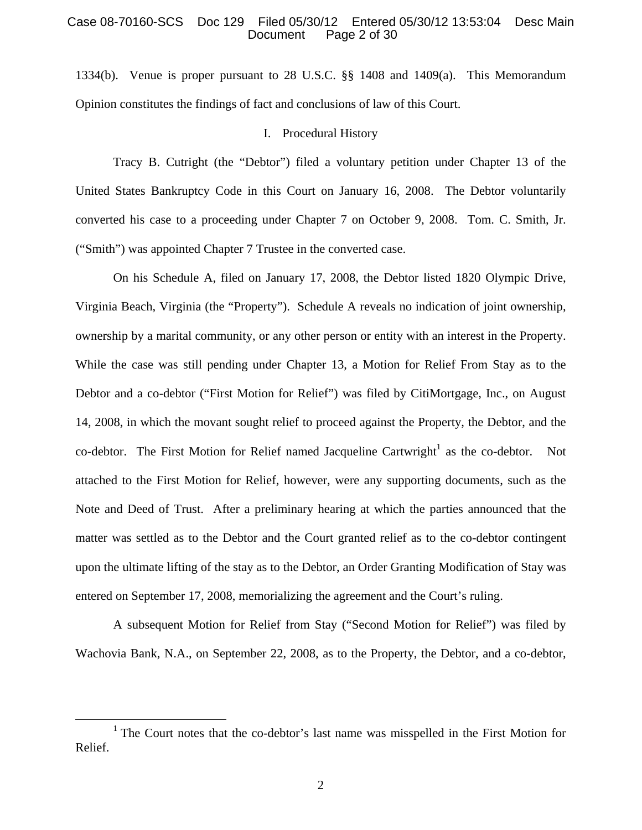# Case 08-70160-SCS Doc 129 Filed 05/30/12 Entered 05/30/12 13:53:04 Desc Main Page 2 of 30

1334(b). Venue is proper pursuant to 28 U.S.C. §§ 1408 and 1409(a). This Memorandum Opinion constitutes the findings of fact and conclusions of law of this Court.

# I. Procedural History

Tracy B. Cutright (the "Debtor") filed a voluntary petition under Chapter 13 of the United States Bankruptcy Code in this Court on January 16, 2008. The Debtor voluntarily converted his case to a proceeding under Chapter 7 on October 9, 2008. Tom. C. Smith, Jr. ("Smith") was appointed Chapter 7 Trustee in the converted case.

On his Schedule A, filed on January 17, 2008, the Debtor listed 1820 Olympic Drive, Virginia Beach, Virginia (the "Property"). Schedule A reveals no indication of joint ownership, ownership by a marital community, or any other person or entity with an interest in the Property. While the case was still pending under Chapter 13, a Motion for Relief From Stay as to the Debtor and a co-debtor ("First Motion for Relief") was filed by CitiMortgage, Inc., on August 14, 2008, in which the movant sought relief to proceed against the Property, the Debtor, and the co-debtor. The First Motion for Relief named Jacqueline Cartwright<sup>1</sup> as the co-debtor. Not attached to the First Motion for Relief, however, were any supporting documents, such as the Note and Deed of Trust. After a preliminary hearing at which the parties announced that the matter was settled as to the Debtor and the Court granted relief as to the co-debtor contingent upon the ultimate lifting of the stay as to the Debtor, an Order Granting Modification of Stay was entered on September 17, 2008, memorializing the agreement and the Court's ruling.

A subsequent Motion for Relief from Stay ("Second Motion for Relief") was filed by Wachovia Bank, N.A., on September 22, 2008, as to the Property, the Debtor, and a co-debtor,

<sup>&</sup>lt;sup>1</sup> The Court notes that the co-debtor's last name was misspelled in the First Motion for Relief.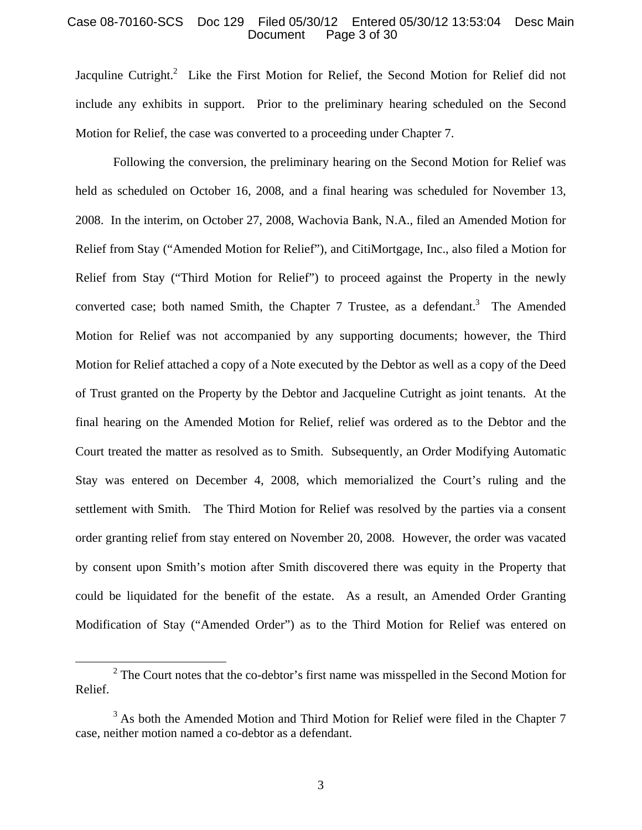### Case 08-70160-SCS Doc 129 Filed 05/30/12 Entered 05/30/12 13:53:04 Desc Main Page 3 of 30

Jacquline Cutright.<sup>2</sup> Like the First Motion for Relief, the Second Motion for Relief did not include any exhibits in support. Prior to the preliminary hearing scheduled on the Second Motion for Relief, the case was converted to a proceeding under Chapter 7.

Following the conversion, the preliminary hearing on the Second Motion for Relief was held as scheduled on October 16, 2008, and a final hearing was scheduled for November 13, 2008. In the interim, on October 27, 2008, Wachovia Bank, N.A., filed an Amended Motion for Relief from Stay ("Amended Motion for Relief"), and CitiMortgage, Inc., also filed a Motion for Relief from Stay ("Third Motion for Relief") to proceed against the Property in the newly converted case; both named Smith, the Chapter 7 Trustee, as a defendant.<sup>3</sup> The Amended Motion for Relief was not accompanied by any supporting documents; however, the Third Motion for Relief attached a copy of a Note executed by the Debtor as well as a copy of the Deed of Trust granted on the Property by the Debtor and Jacqueline Cutright as joint tenants. At the final hearing on the Amended Motion for Relief, relief was ordered as to the Debtor and the Court treated the matter as resolved as to Smith. Subsequently, an Order Modifying Automatic Stay was entered on December 4, 2008, which memorialized the Court's ruling and the settlement with Smith. The Third Motion for Relief was resolved by the parties via a consent order granting relief from stay entered on November 20, 2008. However, the order was vacated by consent upon Smith's motion after Smith discovered there was equity in the Property that could be liquidated for the benefit of the estate. As a result, an Amended Order Granting Modification of Stay ("Amended Order") as to the Third Motion for Relief was entered on

 <sup>2</sup>  $2^2$  The Court notes that the co-debtor's first name was misspelled in the Second Motion for Relief.

 $3$  As both the Amended Motion and Third Motion for Relief were filed in the Chapter 7 case, neither motion named a co-debtor as a defendant.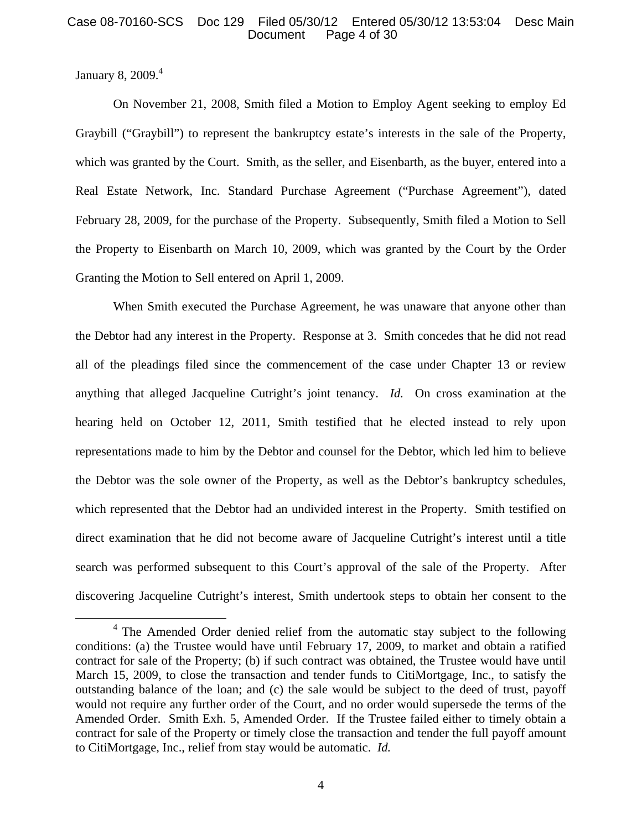# Case 08-70160-SCS Doc 129 Filed 05/30/12 Entered 05/30/12 13:53:04 Desc Main Page 4 of 30

January 8, 2009.<sup>4</sup>

On November 21, 2008, Smith filed a Motion to Employ Agent seeking to employ Ed Graybill ("Graybill") to represent the bankruptcy estate's interests in the sale of the Property, which was granted by the Court. Smith, as the seller, and Eisenbarth, as the buyer, entered into a Real Estate Network, Inc. Standard Purchase Agreement ("Purchase Agreement"), dated February 28, 2009, for the purchase of the Property. Subsequently, Smith filed a Motion to Sell the Property to Eisenbarth on March 10, 2009, which was granted by the Court by the Order Granting the Motion to Sell entered on April 1, 2009.

When Smith executed the Purchase Agreement, he was unaware that anyone other than the Debtor had any interest in the Property. Response at 3. Smith concedes that he did not read all of the pleadings filed since the commencement of the case under Chapter 13 or review anything that alleged Jacqueline Cutright's joint tenancy. *Id.* On cross examination at the hearing held on October 12, 2011, Smith testified that he elected instead to rely upon representations made to him by the Debtor and counsel for the Debtor, which led him to believe the Debtor was the sole owner of the Property, as well as the Debtor's bankruptcy schedules, which represented that the Debtor had an undivided interest in the Property. Smith testified on direct examination that he did not become aware of Jacqueline Cutright's interest until a title search was performed subsequent to this Court's approval of the sale of the Property. After discovering Jacqueline Cutright's interest, Smith undertook steps to obtain her consent to the

<sup>&</sup>lt;sup>4</sup> The Amended Order denied relief from the automatic stay subject to the following conditions: (a) the Trustee would have until February 17, 2009, to market and obtain a ratified contract for sale of the Property; (b) if such contract was obtained, the Trustee would have until March 15, 2009, to close the transaction and tender funds to CitiMortgage, Inc., to satisfy the outstanding balance of the loan; and (c) the sale would be subject to the deed of trust, payoff would not require any further order of the Court, and no order would supersede the terms of the Amended Order. Smith Exh. 5, Amended Order. If the Trustee failed either to timely obtain a contract for sale of the Property or timely close the transaction and tender the full payoff amount to CitiMortgage, Inc., relief from stay would be automatic. *Id.*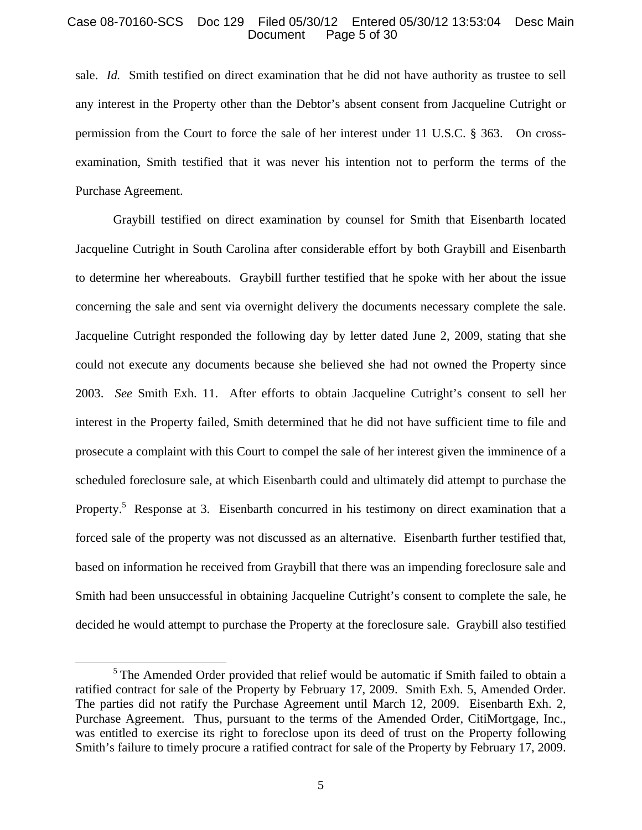# Case 08-70160-SCS Doc 129 Filed 05/30/12 Entered 05/30/12 13:53:04 Desc Main Page 5 of 30

sale. *Id.* Smith testified on direct examination that he did not have authority as trustee to sell any interest in the Property other than the Debtor's absent consent from Jacqueline Cutright or permission from the Court to force the sale of her interest under 11 U.S.C. § 363. On crossexamination, Smith testified that it was never his intention not to perform the terms of the Purchase Agreement.

Graybill testified on direct examination by counsel for Smith that Eisenbarth located Jacqueline Cutright in South Carolina after considerable effort by both Graybill and Eisenbarth to determine her whereabouts. Graybill further testified that he spoke with her about the issue concerning the sale and sent via overnight delivery the documents necessary complete the sale. Jacqueline Cutright responded the following day by letter dated June 2, 2009, stating that she could not execute any documents because she believed she had not owned the Property since 2003. *See* Smith Exh. 11. After efforts to obtain Jacqueline Cutright's consent to sell her interest in the Property failed, Smith determined that he did not have sufficient time to file and prosecute a complaint with this Court to compel the sale of her interest given the imminence of a scheduled foreclosure sale, at which Eisenbarth could and ultimately did attempt to purchase the Property.<sup>5</sup> Response at 3. Eisenbarth concurred in his testimony on direct examination that a forced sale of the property was not discussed as an alternative. Eisenbarth further testified that, based on information he received from Graybill that there was an impending foreclosure sale and Smith had been unsuccessful in obtaining Jacqueline Cutright's consent to complete the sale, he decided he would attempt to purchase the Property at the foreclosure sale. Graybill also testified

 $<sup>5</sup>$  The Amended Order provided that relief would be automatic if Smith failed to obtain a</sup> ratified contract for sale of the Property by February 17, 2009. Smith Exh. 5, Amended Order. The parties did not ratify the Purchase Agreement until March 12, 2009. Eisenbarth Exh. 2, Purchase Agreement. Thus, pursuant to the terms of the Amended Order, CitiMortgage, Inc., was entitled to exercise its right to foreclose upon its deed of trust on the Property following Smith's failure to timely procure a ratified contract for sale of the Property by February 17, 2009.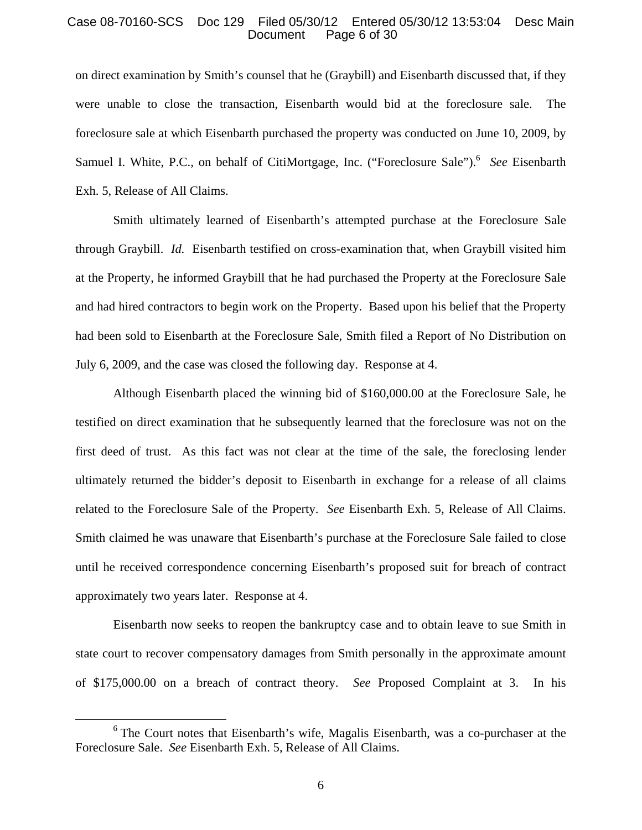### Case 08-70160-SCS Doc 129 Filed 05/30/12 Entered 05/30/12 13:53:04 Desc Main Page 6 of 30

on direct examination by Smith's counsel that he (Graybill) and Eisenbarth discussed that, if they were unable to close the transaction, Eisenbarth would bid at the foreclosure sale. The foreclosure sale at which Eisenbarth purchased the property was conducted on June 10, 2009, by Samuel I. White, P.C., on behalf of CitiMortgage, Inc. ("Foreclosure Sale").<sup>6</sup> See Eisenbarth Exh. 5, Release of All Claims.

Smith ultimately learned of Eisenbarth's attempted purchase at the Foreclosure Sale through Graybill. *Id.* Eisenbarth testified on cross-examination that, when Graybill visited him at the Property, he informed Graybill that he had purchased the Property at the Foreclosure Sale and had hired contractors to begin work on the Property. Based upon his belief that the Property had been sold to Eisenbarth at the Foreclosure Sale, Smith filed a Report of No Distribution on July 6, 2009, and the case was closed the following day. Response at 4.

Although Eisenbarth placed the winning bid of \$160,000.00 at the Foreclosure Sale, he testified on direct examination that he subsequently learned that the foreclosure was not on the first deed of trust. As this fact was not clear at the time of the sale, the foreclosing lender ultimately returned the bidder's deposit to Eisenbarth in exchange for a release of all claims related to the Foreclosure Sale of the Property. *See* Eisenbarth Exh. 5, Release of All Claims. Smith claimed he was unaware that Eisenbarth's purchase at the Foreclosure Sale failed to close until he received correspondence concerning Eisenbarth's proposed suit for breach of contract approximately two years later. Response at 4.

Eisenbarth now seeks to reopen the bankruptcy case and to obtain leave to sue Smith in state court to recover compensatory damages from Smith personally in the approximate amount of \$175,000.00 on a breach of contract theory. *See* Proposed Complaint at 3. In his

 $6$  The Court notes that Eisenbarth's wife, Magalis Eisenbarth, was a co-purchaser at the Foreclosure Sale. *See* Eisenbarth Exh. 5, Release of All Claims.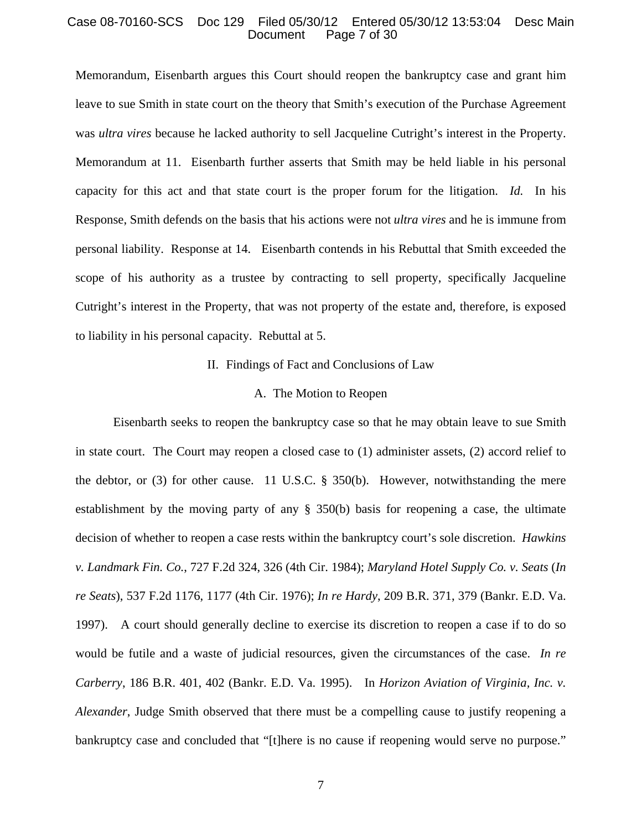#### Case 08-70160-SCS Doc 129 Filed 05/30/12 Entered 05/30/12 13:53:04 Desc Main Page 7 of 30

Memorandum, Eisenbarth argues this Court should reopen the bankruptcy case and grant him leave to sue Smith in state court on the theory that Smith's execution of the Purchase Agreement was *ultra vires* because he lacked authority to sell Jacqueline Cutright's interest in the Property. Memorandum at 11. Eisenbarth further asserts that Smith may be held liable in his personal capacity for this act and that state court is the proper forum for the litigation. *Id.* In his Response, Smith defends on the basis that his actions were not *ultra vires* and he is immune from personal liability. Response at 14. Eisenbarth contends in his Rebuttal that Smith exceeded the scope of his authority as a trustee by contracting to sell property, specifically Jacqueline Cutright's interest in the Property, that was not property of the estate and, therefore, is exposed to liability in his personal capacity. Rebuttal at 5.

#### II. Findings of Fact and Conclusions of Law

#### A. The Motion to Reopen

 Eisenbarth seeks to reopen the bankruptcy case so that he may obtain leave to sue Smith in state court. The Court may reopen a closed case to (1) administer assets, (2) accord relief to the debtor, or (3) for other cause. 11 U.S.C. § 350(b). However, notwithstanding the mere establishment by the moving party of any § 350(b) basis for reopening a case, the ultimate decision of whether to reopen a case rests within the bankruptcy court's sole discretion. *Hawkins v. Landmark Fin. Co.*, 727 F.2d 324, 326 (4th Cir. 1984); *Maryland Hotel Supply Co. v. Seats* (*In re Seats*), 537 F.2d 1176, 1177 (4th Cir. 1976); *In re Hardy*, 209 B.R. 371, 379 (Bankr. E.D. Va. 1997). A court should generally decline to exercise its discretion to reopen a case if to do so would be futile and a waste of judicial resources, given the circumstances of the case. *In re Carberry*, 186 B.R. 401, 402 (Bankr. E.D. Va. 1995). In *Horizon Aviation of Virginia, Inc. v. Alexander*, Judge Smith observed that there must be a compelling cause to justify reopening a bankruptcy case and concluded that "[t]here is no cause if reopening would serve no purpose."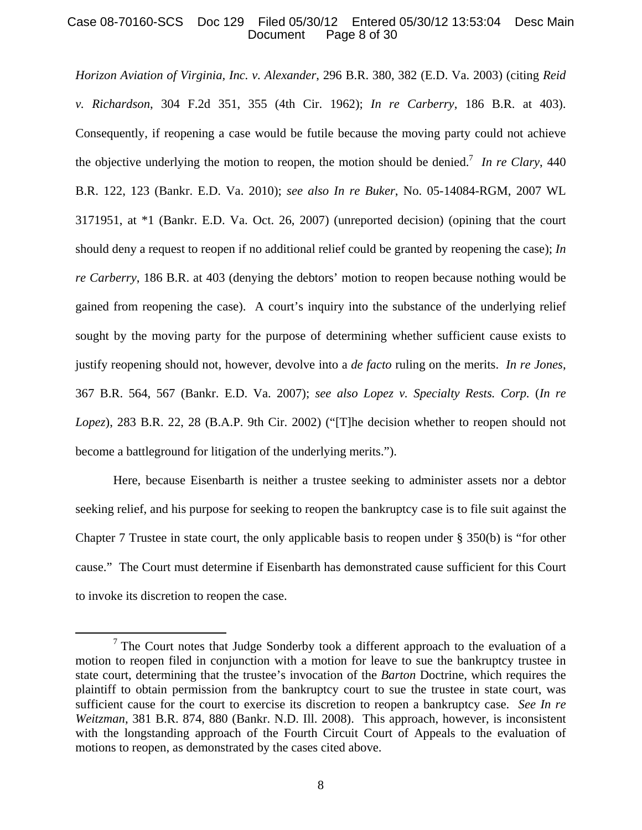# Case 08-70160-SCS Doc 129 Filed 05/30/12 Entered 05/30/12 13:53:04 Desc Main Page 8 of 30

*Horizon Aviation of Virginia, Inc. v. Alexander*, 296 B.R. 380, 382 (E.D. Va. 2003) (citing *Reid v. Richardson*, 304 F.2d 351, 355 (4th Cir. 1962); *In re Carberry*, 186 B.R. at 403). Consequently, if reopening a case would be futile because the moving party could not achieve the objective underlying the motion to reopen, the motion should be denied.<sup>7</sup> In re Clary, 440 B.R. 122, 123 (Bankr. E.D. Va. 2010); *see also In re Buker*, No. 05-14084-RGM, 2007 WL 3171951, at \*1 (Bankr. E.D. Va. Oct. 26, 2007) (unreported decision) (opining that the court should deny a request to reopen if no additional relief could be granted by reopening the case); *In re Carberry*, 186 B.R. at 403 (denying the debtors' motion to reopen because nothing would be gained from reopening the case). A court's inquiry into the substance of the underlying relief sought by the moving party for the purpose of determining whether sufficient cause exists to justify reopening should not, however, devolve into a *de facto* ruling on the merits. *In re Jones*, 367 B.R. 564, 567 (Bankr. E.D. Va. 2007); *see also Lopez v. Specialty Rests. Corp.* (*In re Lopez*), 283 B.R. 22, 28 (B.A.P. 9th Cir. 2002) ("[T]he decision whether to reopen should not become a battleground for litigation of the underlying merits.").

Here, because Eisenbarth is neither a trustee seeking to administer assets nor a debtor seeking relief, and his purpose for seeking to reopen the bankruptcy case is to file suit against the Chapter 7 Trustee in state court, the only applicable basis to reopen under § 350(b) is "for other cause." The Court must determine if Eisenbarth has demonstrated cause sufficient for this Court to invoke its discretion to reopen the case.

 $<sup>7</sup>$  The Court notes that Judge Sonderby took a different approach to the evaluation of a</sup> motion to reopen filed in conjunction with a motion for leave to sue the bankruptcy trustee in state court, determining that the trustee's invocation of the *Barton* Doctrine, which requires the plaintiff to obtain permission from the bankruptcy court to sue the trustee in state court, was sufficient cause for the court to exercise its discretion to reopen a bankruptcy case. *See In re Weitzman*, 381 B.R. 874, 880 (Bankr. N.D. Ill. 2008). This approach, however, is inconsistent with the longstanding approach of the Fourth Circuit Court of Appeals to the evaluation of motions to reopen, as demonstrated by the cases cited above.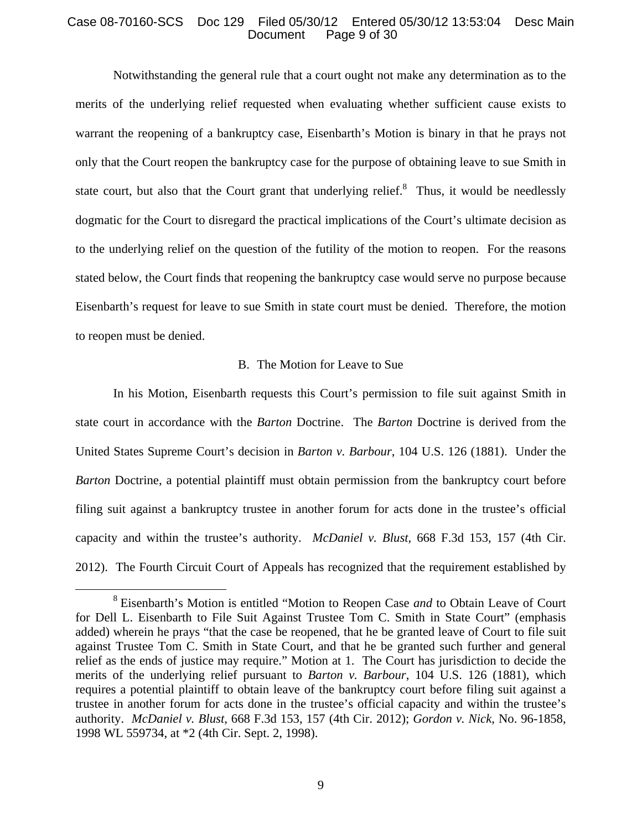# Case 08-70160-SCS Doc 129 Filed 05/30/12 Entered 05/30/12 13:53:04 Desc Main Page 9 of 30

Notwithstanding the general rule that a court ought not make any determination as to the merits of the underlying relief requested when evaluating whether sufficient cause exists to warrant the reopening of a bankruptcy case, Eisenbarth's Motion is binary in that he prays not only that the Court reopen the bankruptcy case for the purpose of obtaining leave to sue Smith in state court, but also that the Court grant that underlying relief. $\delta$  Thus, it would be needlessly dogmatic for the Court to disregard the practical implications of the Court's ultimate decision as to the underlying relief on the question of the futility of the motion to reopen. For the reasons stated below, the Court finds that reopening the bankruptcy case would serve no purpose because Eisenbarth's request for leave to sue Smith in state court must be denied. Therefore, the motion to reopen must be denied.

# B. The Motion for Leave to Sue

In his Motion, Eisenbarth requests this Court's permission to file suit against Smith in state court in accordance with the *Barton* Doctrine. The *Barton* Doctrine is derived from the United States Supreme Court's decision in *Barton v. Barbour*, 104 U.S. 126 (1881). Under the *Barton* Doctrine, a potential plaintiff must obtain permission from the bankruptcy court before filing suit against a bankruptcy trustee in another forum for acts done in the trustee's official capacity and within the trustee's authority. *McDaniel v. Blust*, 668 F.3d 153, 157 (4th Cir. 2012). The Fourth Circuit Court of Appeals has recognized that the requirement established by

 <sup>8</sup> Eisenbarth's Motion is entitled "Motion to Reopen Case *and* to Obtain Leave of Court for Dell L. Eisenbarth to File Suit Against Trustee Tom C. Smith in State Court" (emphasis added) wherein he prays "that the case be reopened, that he be granted leave of Court to file suit against Trustee Tom C. Smith in State Court, and that he be granted such further and general relief as the ends of justice may require." Motion at 1. The Court has jurisdiction to decide the merits of the underlying relief pursuant to *Barton v. Barbour*, 104 U.S. 126 (1881), which requires a potential plaintiff to obtain leave of the bankruptcy court before filing suit against a trustee in another forum for acts done in the trustee's official capacity and within the trustee's authority. *McDaniel v. Blust*, 668 F.3d 153, 157 (4th Cir. 2012); *Gordon v. Nick*, No. 96-1858, 1998 WL 559734, at \*2 (4th Cir. Sept. 2, 1998).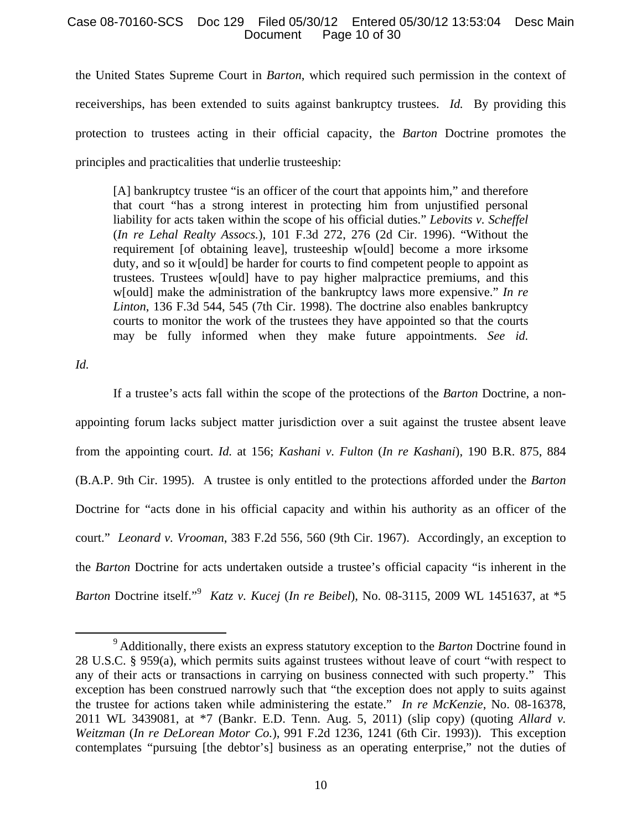# Case 08-70160-SCS Doc 129 Filed 05/30/12 Entered 05/30/12 13:53:04 Desc Main Page 10 of 30

the United States Supreme Court in *Barton*, which required such permission in the context of receiverships, has been extended to suits against bankruptcy trustees. *Id.* By providing this protection to trustees acting in their official capacity, the *Barton* Doctrine promotes the principles and practicalities that underlie trusteeship:

[A] bankruptcy trustee "is an officer of the court that appoints him," and therefore that court "has a strong interest in protecting him from unjustified personal liability for acts taken within the scope of his official duties." *Lebovits v. Scheffel*  (*In re Lehal Realty Assocs.*), 101 F.3d 272, 276 (2d Cir. 1996). "Without the requirement [of obtaining leave], trusteeship w[ould] become a more irksome duty, and so it w[ould] be harder for courts to find competent people to appoint as trustees. Trustees w[ould] have to pay higher malpractice premiums, and this w[ould] make the administration of the bankruptcy laws more expensive." *In re Linton*, 136 F.3d 544, 545 (7th Cir. 1998). The doctrine also enables bankruptcy courts to monitor the work of the trustees they have appointed so that the courts may be fully informed when they make future appointments. *See id.*

*Id.*

If a trustee's acts fall within the scope of the protections of the *Barton* Doctrine, a nonappointing forum lacks subject matter jurisdiction over a suit against the trustee absent leave from the appointing court. *Id.* at 156; *Kashani v. Fulton* (*In re Kashani*), 190 B.R. 875, 884 (B.A.P. 9th Cir. 1995). A trustee is only entitled to the protections afforded under the *Barton*  Doctrine for "acts done in his official capacity and within his authority as an officer of the court." *Leonard v. Vrooman*, 383 F.2d 556, 560 (9th Cir. 1967). Accordingly, an exception to the *Barton* Doctrine for acts undertaken outside a trustee's official capacity "is inherent in the *Barton* Doctrine itself."<sup>9</sup> *Katz v. Kucej* (*In re Beibel*), No. 08-3115, 2009 WL 1451637, at \*5

 <sup>9</sup> Additionally, there exists an express statutory exception to the *Barton* Doctrine found in 28 U.S.C. § 959(a), which permits suits against trustees without leave of court "with respect to any of their acts or transactions in carrying on business connected with such property." This exception has been construed narrowly such that "the exception does not apply to suits against the trustee for actions taken while administering the estate." *In re McKenzie*, No. 08-16378, 2011 WL 3439081, at \*7 (Bankr. E.D. Tenn. Aug. 5, 2011) (slip copy) (quoting *Allard v. Weitzman* (*In re DeLorean Motor Co.*), 991 F.2d 1236, 1241 (6th Cir. 1993)). This exception contemplates "pursuing [the debtor's] business as an operating enterprise," not the duties of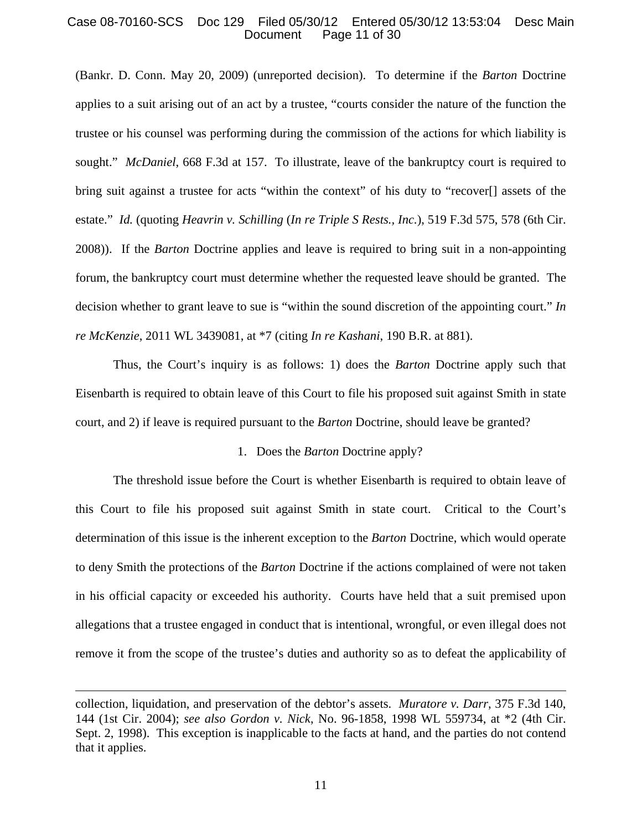# Case 08-70160-SCS Doc 129 Filed 05/30/12 Entered 05/30/12 13:53:04 Desc Main Page 11 of 30

(Bankr. D. Conn. May 20, 2009) (unreported decision). To determine if the *Barton* Doctrine applies to a suit arising out of an act by a trustee, "courts consider the nature of the function the trustee or his counsel was performing during the commission of the actions for which liability is sought." *McDaniel*, 668 F.3d at 157. To illustrate, leave of the bankruptcy court is required to bring suit against a trustee for acts "within the context" of his duty to "recover[] assets of the estate." *Id.* (quoting *Heavrin v. Schilling* (*In re Triple S Rests., Inc.*), 519 F.3d 575, 578 (6th Cir. 2008)). If the *Barton* Doctrine applies and leave is required to bring suit in a non-appointing forum, the bankruptcy court must determine whether the requested leave should be granted. The decision whether to grant leave to sue is "within the sound discretion of the appointing court." *In re McKenzie*, 2011 WL 3439081, at \*7 (citing *In re Kashani*, 190 B.R. at 881).

Thus, the Court's inquiry is as follows: 1) does the *Barton* Doctrine apply such that Eisenbarth is required to obtain leave of this Court to file his proposed suit against Smith in state court, and 2) if leave is required pursuant to the *Barton* Doctrine, should leave be granted?

### 1. Does the *Barton* Doctrine apply?

The threshold issue before the Court is whether Eisenbarth is required to obtain leave of this Court to file his proposed suit against Smith in state court. Critical to the Court's determination of this issue is the inherent exception to the *Barton* Doctrine, which would operate to deny Smith the protections of the *Barton* Doctrine if the actions complained of were not taken in his official capacity or exceeded his authority. Courts have held that a suit premised upon allegations that a trustee engaged in conduct that is intentional, wrongful, or even illegal does not remove it from the scope of the trustee's duties and authority so as to defeat the applicability of

 $\overline{a}$ 

collection, liquidation, and preservation of the debtor's assets. *Muratore v. Darr*, 375 F.3d 140, 144 (1st Cir. 2004); *see also Gordon v. Nick*, No. 96-1858, 1998 WL 559734, at \*2 (4th Cir. Sept. 2, 1998). This exception is inapplicable to the facts at hand, and the parties do not contend that it applies.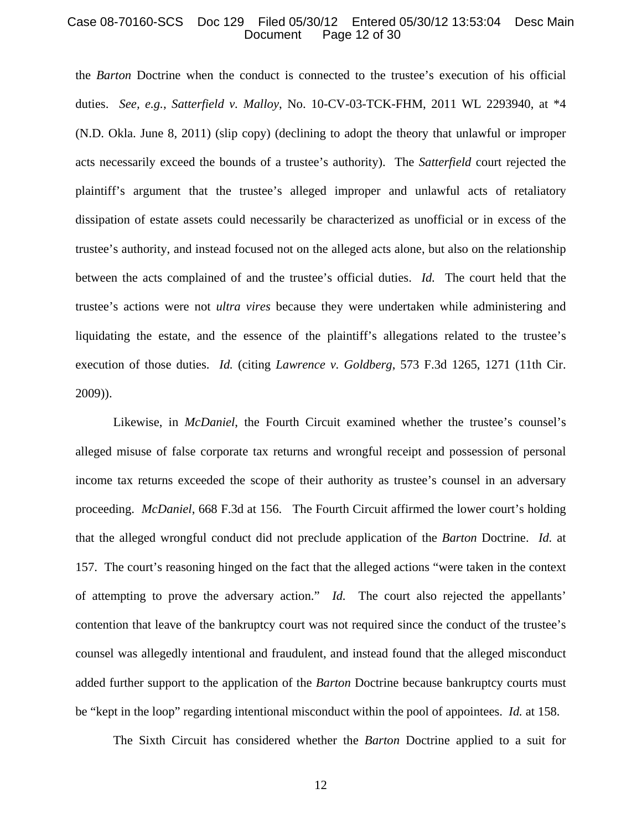### Case 08-70160-SCS Doc 129 Filed 05/30/12 Entered 05/30/12 13:53:04 Desc Main Page 12 of 30

the *Barton* Doctrine when the conduct is connected to the trustee's execution of his official duties. *See, e.g.*, *Satterfield v. Malloy*, No. 10-CV-03-TCK-FHM, 2011 WL 2293940, at \*4 (N.D. Okla. June 8, 2011) (slip copy) (declining to adopt the theory that unlawful or improper acts necessarily exceed the bounds of a trustee's authority).The *Satterfield* court rejected the plaintiff's argument that the trustee's alleged improper and unlawful acts of retaliatory dissipation of estate assets could necessarily be characterized as unofficial or in excess of the trustee's authority, and instead focused not on the alleged acts alone, but also on the relationship between the acts complained of and the trustee's official duties. *Id.* The court held that the trustee's actions were not *ultra vires* because they were undertaken while administering and liquidating the estate, and the essence of the plaintiff's allegations related to the trustee's execution of those duties. *Id.* (citing *Lawrence v. Goldberg*, 573 F.3d 1265, 1271 (11th Cir. 2009)).

Likewise, in *McDaniel*, the Fourth Circuit examined whether the trustee's counsel's alleged misuse of false corporate tax returns and wrongful receipt and possession of personal income tax returns exceeded the scope of their authority as trustee's counsel in an adversary proceeding. *McDaniel*, 668 F.3d at 156. The Fourth Circuit affirmed the lower court's holding that the alleged wrongful conduct did not preclude application of the *Barton* Doctrine. *Id.* at 157. The court's reasoning hinged on the fact that the alleged actions "were taken in the context of attempting to prove the adversary action." *Id.* The court also rejected the appellants' contention that leave of the bankruptcy court was not required since the conduct of the trustee's counsel was allegedly intentional and fraudulent, and instead found that the alleged misconduct added further support to the application of the *Barton* Doctrine because bankruptcy courts must be "kept in the loop" regarding intentional misconduct within the pool of appointees. *Id.* at 158.

The Sixth Circuit has considered whether the *Barton* Doctrine applied to a suit for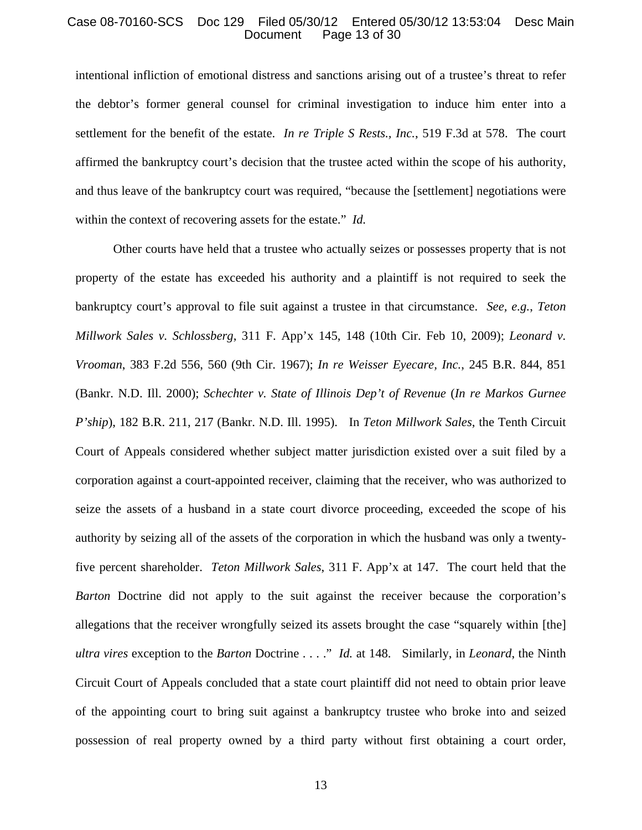### Case 08-70160-SCS Doc 129 Filed 05/30/12 Entered 05/30/12 13:53:04 Desc Main Page 13 of 30

intentional infliction of emotional distress and sanctions arising out of a trustee's threat to refer the debtor's former general counsel for criminal investigation to induce him enter into a settlement for the benefit of the estate. *In re Triple S Rests., Inc.*, 519 F.3d at 578. The court affirmed the bankruptcy court's decision that the trustee acted within the scope of his authority, and thus leave of the bankruptcy court was required, "because the [settlement] negotiations were within the context of recovering assets for the estate." *Id.* 

Other courts have held that a trustee who actually seizes or possesses property that is not property of the estate has exceeded his authority and a plaintiff is not required to seek the bankruptcy court's approval to file suit against a trustee in that circumstance. *See, e.g.*, *Teton Millwork Sales v. Schlossberg*, 311 F. App'x 145, 148 (10th Cir. Feb 10, 2009); *Leonard v. Vrooman*, 383 F.2d 556, 560 (9th Cir. 1967); *In re Weisser Eyecare, Inc.*, 245 B.R. 844, 851 (Bankr. N.D. Ill. 2000); *Schechter v. State of Illinois Dep't of Revenue* (*In re Markos Gurnee P'ship*), 182 B.R. 211, 217 (Bankr. N.D. Ill. 1995). In *Teton Millwork Sales*, the Tenth Circuit Court of Appeals considered whether subject matter jurisdiction existed over a suit filed by a corporation against a court-appointed receiver, claiming that the receiver, who was authorized to seize the assets of a husband in a state court divorce proceeding, exceeded the scope of his authority by seizing all of the assets of the corporation in which the husband was only a twentyfive percent shareholder. *Teton Millwork Sales*, 311 F. App'x at 147. The court held that the *Barton* Doctrine did not apply to the suit against the receiver because the corporation's allegations that the receiver wrongfully seized its assets brought the case "squarely within [the] *ultra vires* exception to the *Barton* Doctrine . . . ." *Id.* at 148. Similarly, in *Leonard*, the Ninth Circuit Court of Appeals concluded that a state court plaintiff did not need to obtain prior leave of the appointing court to bring suit against a bankruptcy trustee who broke into and seized possession of real property owned by a third party without first obtaining a court order,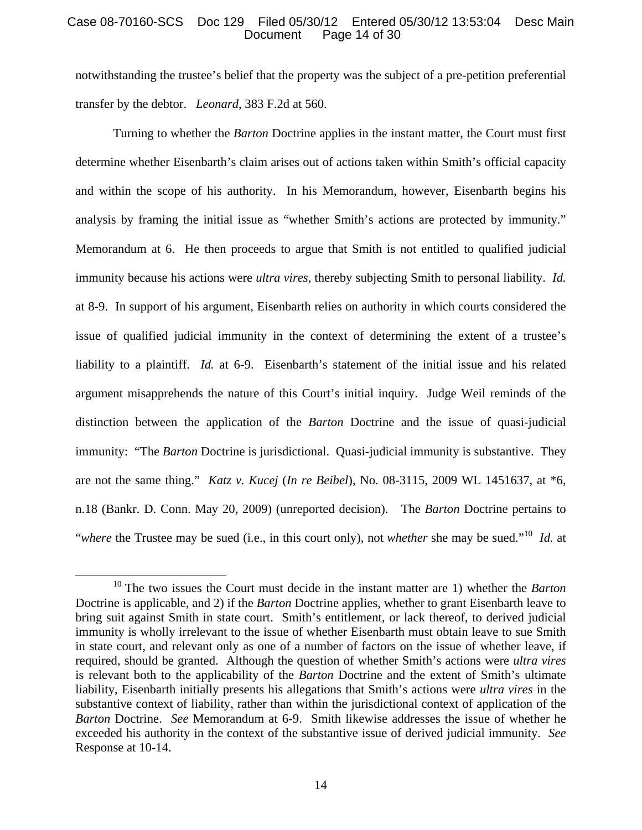# Case 08-70160-SCS Doc 129 Filed 05/30/12 Entered 05/30/12 13:53:04 Desc Main Page 14 of 30

notwithstanding the trustee's belief that the property was the subject of a pre-petition preferential transfer by the debtor. *Leonard*, 383 F.2d at 560.

Turning to whether the *Barton* Doctrine applies in the instant matter, the Court must first determine whether Eisenbarth's claim arises out of actions taken within Smith's official capacity and within the scope of his authority. In his Memorandum, however, Eisenbarth begins his analysis by framing the initial issue as "whether Smith's actions are protected by immunity." Memorandum at 6. He then proceeds to argue that Smith is not entitled to qualified judicial immunity because his actions were *ultra vires*, thereby subjecting Smith to personal liability. *Id.* at 8-9. In support of his argument, Eisenbarth relies on authority in which courts considered the issue of qualified judicial immunity in the context of determining the extent of a trustee's liability to a plaintiff. *Id.* at 6-9. Eisenbarth's statement of the initial issue and his related argument misapprehends the nature of this Court's initial inquiry. Judge Weil reminds of the distinction between the application of the *Barton* Doctrine and the issue of quasi-judicial immunity: "The *Barton* Doctrine is jurisdictional. Quasi-judicial immunity is substantive. They are not the same thing." *Katz v. Kucej* (*In re Beibel*), No. 08-3115, 2009 WL 1451637, at \*6, n.18 (Bankr. D. Conn. May 20, 2009) (unreported decision). The *Barton* Doctrine pertains to "*where* the Trustee may be sued (i.e., in this court only), not *whether* she may be sued."10 *Id.* at

 <sup>10</sup> The two issues the Court must decide in the instant matter are 1) whether the *Barton* Doctrine is applicable, and 2) if the *Barton* Doctrine applies, whether to grant Eisenbarth leave to bring suit against Smith in state court. Smith's entitlement, or lack thereof, to derived judicial immunity is wholly irrelevant to the issue of whether Eisenbarth must obtain leave to sue Smith in state court, and relevant only as one of a number of factors on the issue of whether leave, if required, should be granted. Although the question of whether Smith's actions were *ultra vires* is relevant both to the applicability of the *Barton* Doctrine and the extent of Smith's ultimate liability, Eisenbarth initially presents his allegations that Smith's actions were *ultra vires* in the substantive context of liability, rather than within the jurisdictional context of application of the *Barton* Doctrine. *See* Memorandum at 6-9. Smith likewise addresses the issue of whether he exceeded his authority in the context of the substantive issue of derived judicial immunity. *See* Response at 10-14.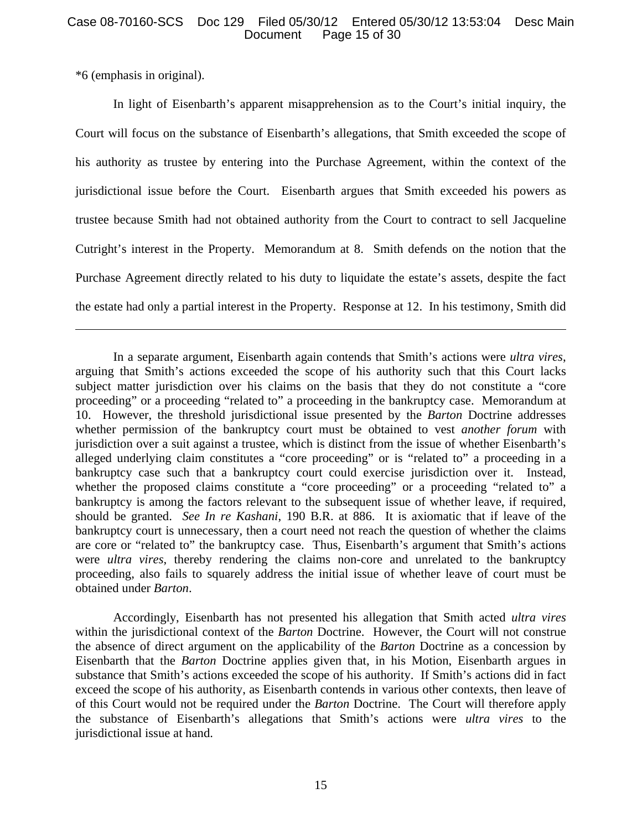# Case 08-70160-SCS Doc 129 Filed 05/30/12 Entered 05/30/12 13:53:04 Desc Main Page 15 of 30

\*6 (emphasis in original).

1

In light of Eisenbarth's apparent misapprehension as to the Court's initial inquiry, the Court will focus on the substance of Eisenbarth's allegations, that Smith exceeded the scope of his authority as trustee by entering into the Purchase Agreement, within the context of the jurisdictional issue before the Court. Eisenbarth argues that Smith exceeded his powers as trustee because Smith had not obtained authority from the Court to contract to sell Jacqueline Cutright's interest in the Property. Memorandum at 8. Smith defends on the notion that the Purchase Agreement directly related to his duty to liquidate the estate's assets, despite the fact the estate had only a partial interest in the Property. Response at 12. In his testimony, Smith did

In a separate argument, Eisenbarth again contends that Smith's actions were *ultra vires*, arguing that Smith's actions exceeded the scope of his authority such that this Court lacks subject matter jurisdiction over his claims on the basis that they do not constitute a "core proceeding" or a proceeding "related to" a proceeding in the bankruptcy case. Memorandum at 10. However, the threshold jurisdictional issue presented by the *Barton* Doctrine addresses whether permission of the bankruptcy court must be obtained to vest *another forum* with jurisdiction over a suit against a trustee, which is distinct from the issue of whether Eisenbarth's alleged underlying claim constitutes a "core proceeding" or is "related to" a proceeding in a bankruptcy case such that a bankruptcy court could exercise jurisdiction over it. Instead, whether the proposed claims constitute a "core proceeding" or a proceeding "related to" a bankruptcy is among the factors relevant to the subsequent issue of whether leave, if required, should be granted. *See In re Kashani*, 190 B.R. at 886. It is axiomatic that if leave of the bankruptcy court is unnecessary, then a court need not reach the question of whether the claims are core or "related to" the bankruptcy case. Thus, Eisenbarth's argument that Smith's actions were *ultra vires*, thereby rendering the claims non-core and unrelated to the bankruptcy proceeding, also fails to squarely address the initial issue of whether leave of court must be obtained under *Barton*.

Accordingly, Eisenbarth has not presented his allegation that Smith acted *ultra vires* within the jurisdictional context of the *Barton* Doctrine. However, the Court will not construe the absence of direct argument on the applicability of the *Barton* Doctrine as a concession by Eisenbarth that the *Barton* Doctrine applies given that, in his Motion, Eisenbarth argues in substance that Smith's actions exceeded the scope of his authority. If Smith's actions did in fact exceed the scope of his authority, as Eisenbarth contends in various other contexts, then leave of of this Court would not be required under the *Barton* Doctrine. The Court will therefore apply the substance of Eisenbarth's allegations that Smith's actions were *ultra vires* to the jurisdictional issue at hand.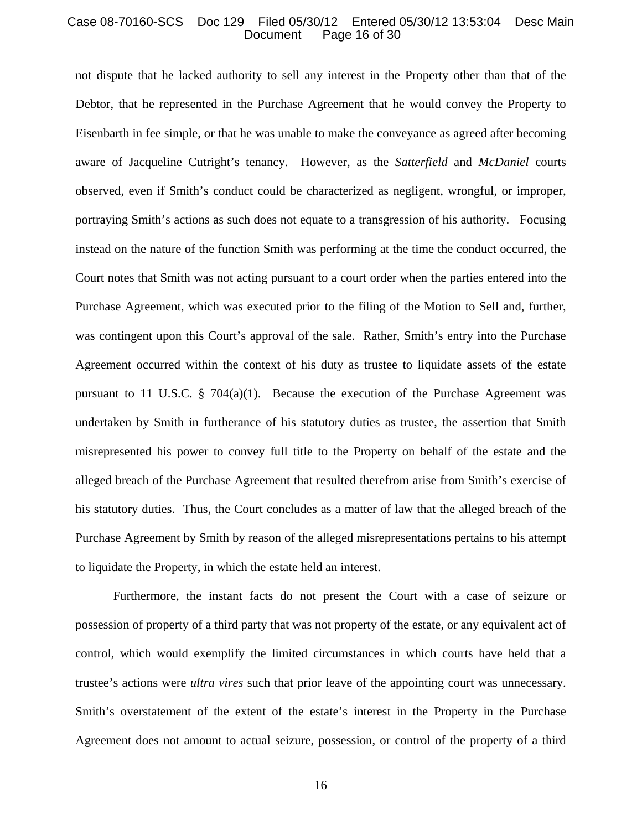### Case 08-70160-SCS Doc 129 Filed 05/30/12 Entered 05/30/12 13:53:04 Desc Main Page 16 of 30

not dispute that he lacked authority to sell any interest in the Property other than that of the Debtor, that he represented in the Purchase Agreement that he would convey the Property to Eisenbarth in fee simple, or that he was unable to make the conveyance as agreed after becoming aware of Jacqueline Cutright's tenancy. However, as the *Satterfield* and *McDaniel* courts observed, even if Smith's conduct could be characterized as negligent, wrongful, or improper, portraying Smith's actions as such does not equate to a transgression of his authority. Focusing instead on the nature of the function Smith was performing at the time the conduct occurred, the Court notes that Smith was not acting pursuant to a court order when the parties entered into the Purchase Agreement, which was executed prior to the filing of the Motion to Sell and, further, was contingent upon this Court's approval of the sale. Rather, Smith's entry into the Purchase Agreement occurred within the context of his duty as trustee to liquidate assets of the estate pursuant to 11 U.S.C. § 704(a)(1). Because the execution of the Purchase Agreement was undertaken by Smith in furtherance of his statutory duties as trustee, the assertion that Smith misrepresented his power to convey full title to the Property on behalf of the estate and the alleged breach of the Purchase Agreement that resulted therefrom arise from Smith's exercise of his statutory duties. Thus, the Court concludes as a matter of law that the alleged breach of the Purchase Agreement by Smith by reason of the alleged misrepresentations pertains to his attempt to liquidate the Property, in which the estate held an interest.

Furthermore, the instant facts do not present the Court with a case of seizure or possession of property of a third party that was not property of the estate, or any equivalent act of control, which would exemplify the limited circumstances in which courts have held that a trustee's actions were *ultra vires* such that prior leave of the appointing court was unnecessary. Smith's overstatement of the extent of the estate's interest in the Property in the Purchase Agreement does not amount to actual seizure, possession, or control of the property of a third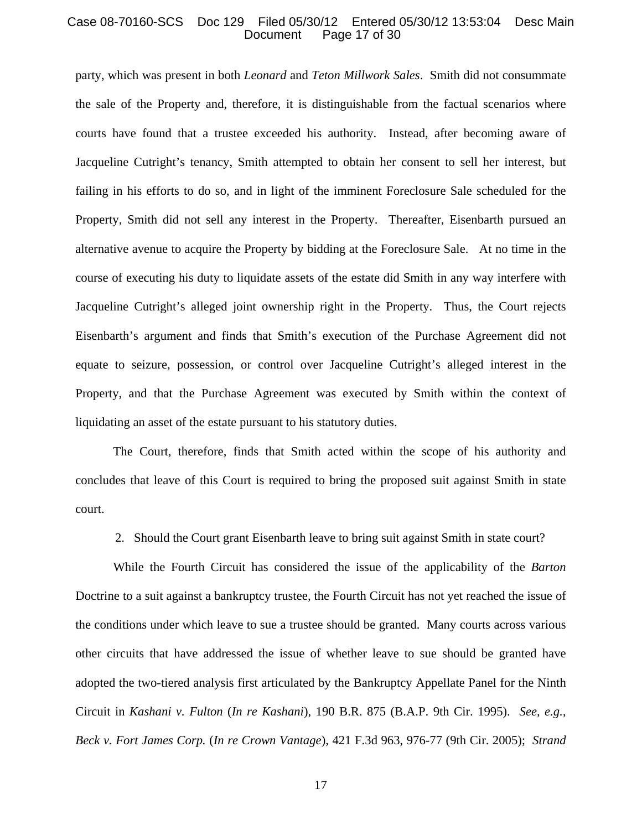### Case 08-70160-SCS Doc 129 Filed 05/30/12 Entered 05/30/12 13:53:04 Desc Main Page 17 of 30

party, which was present in both *Leonard* and *Teton Millwork Sales*. Smith did not consummate the sale of the Property and, therefore, it is distinguishable from the factual scenarios where courts have found that a trustee exceeded his authority. Instead, after becoming aware of Jacqueline Cutright's tenancy, Smith attempted to obtain her consent to sell her interest, but failing in his efforts to do so, and in light of the imminent Foreclosure Sale scheduled for the Property, Smith did not sell any interest in the Property. Thereafter, Eisenbarth pursued an alternative avenue to acquire the Property by bidding at the Foreclosure Sale. At no time in the course of executing his duty to liquidate assets of the estate did Smith in any way interfere with Jacqueline Cutright's alleged joint ownership right in the Property. Thus, the Court rejects Eisenbarth's argument and finds that Smith's execution of the Purchase Agreement did not equate to seizure, possession, or control over Jacqueline Cutright's alleged interest in the Property, and that the Purchase Agreement was executed by Smith within the context of liquidating an asset of the estate pursuant to his statutory duties.

The Court, therefore, finds that Smith acted within the scope of his authority and concludes that leave of this Court is required to bring the proposed suit against Smith in state court.

2. Should the Court grant Eisenbarth leave to bring suit against Smith in state court?

While the Fourth Circuit has considered the issue of the applicability of the *Barton* Doctrine to a suit against a bankruptcy trustee, the Fourth Circuit has not yet reached the issue of the conditions under which leave to sue a trustee should be granted. Many courts across various other circuits that have addressed the issue of whether leave to sue should be granted have adopted the two-tiered analysis first articulated by the Bankruptcy Appellate Panel for the Ninth Circuit in *Kashani v. Fulton* (*In re Kashani*), 190 B.R. 875 (B.A.P. 9th Cir. 1995). *See, e.g.*, *Beck v. Fort James Corp.* (*In re Crown Vantage*), 421 F.3d 963, 976-77 (9th Cir. 2005); *Strand*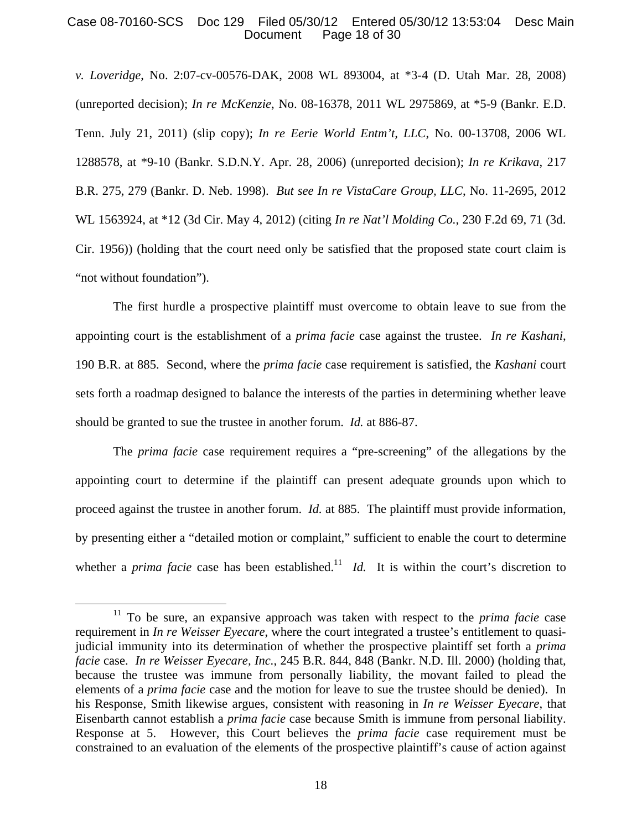# Case 08-70160-SCS Doc 129 Filed 05/30/12 Entered 05/30/12 13:53:04 Desc Main Page 18 of 30

*v. Loveridge*, No. 2:07-cv-00576-DAK, 2008 WL 893004, at \*3-4 (D. Utah Mar. 28, 2008) (unreported decision); *In re McKenzie*, No. 08-16378, 2011 WL 2975869, at \*5-9 (Bankr. E.D. Tenn. July 21, 2011) (slip copy); *In re Eerie World Entm't, LLC*, No. 00-13708, 2006 WL 1288578, at \*9-10 (Bankr. S.D.N.Y. Apr. 28, 2006) (unreported decision); *In re Krikava*, 217 B.R. 275, 279 (Bankr. D. Neb. 1998). *But see In re VistaCare Group, LLC*, No. 11-2695, 2012 WL 1563924, at \*12 (3d Cir. May 4, 2012) (citing *In re Nat'l Molding Co.*, 230 F.2d 69, 71 (3d. Cir. 1956)) (holding that the court need only be satisfied that the proposed state court claim is "not without foundation").

The first hurdle a prospective plaintiff must overcome to obtain leave to sue from the appointing court is the establishment of a *prima facie* case against the trustee. *In re Kashani*, 190 B.R. at 885. Second, where the *prima facie* case requirement is satisfied, the *Kashani* court sets forth a roadmap designed to balance the interests of the parties in determining whether leave should be granted to sue the trustee in another forum. *Id.* at 886-87.

The *prima facie* case requirement requires a "pre-screening" of the allegations by the appointing court to determine if the plaintiff can present adequate grounds upon which to proceed against the trustee in another forum. *Id.* at 885. The plaintiff must provide information, by presenting either a "detailed motion or complaint," sufficient to enable the court to determine whether a *prima facie* case has been established.<sup>11</sup> *Id.* It is within the court's discretion to

<sup>&</sup>lt;sup>11</sup> To be sure, an expansive approach was taken with respect to the *prima facie* case requirement in *In re Weisser Eyecare*, where the court integrated a trustee's entitlement to quasijudicial immunity into its determination of whether the prospective plaintiff set forth a *prima facie* case. *In re Weisser Eyecare, Inc.*, 245 B.R. 844, 848 (Bankr. N.D. Ill. 2000) (holding that, because the trustee was immune from personally liability, the movant failed to plead the elements of a *prima facie* case and the motion for leave to sue the trustee should be denied). In his Response, Smith likewise argues, consistent with reasoning in *In re Weisser Eyecare*, that Eisenbarth cannot establish a *prima facie* case because Smith is immune from personal liability. Response at 5. However, this Court believes the *prima facie* case requirement must be constrained to an evaluation of the elements of the prospective plaintiff's cause of action against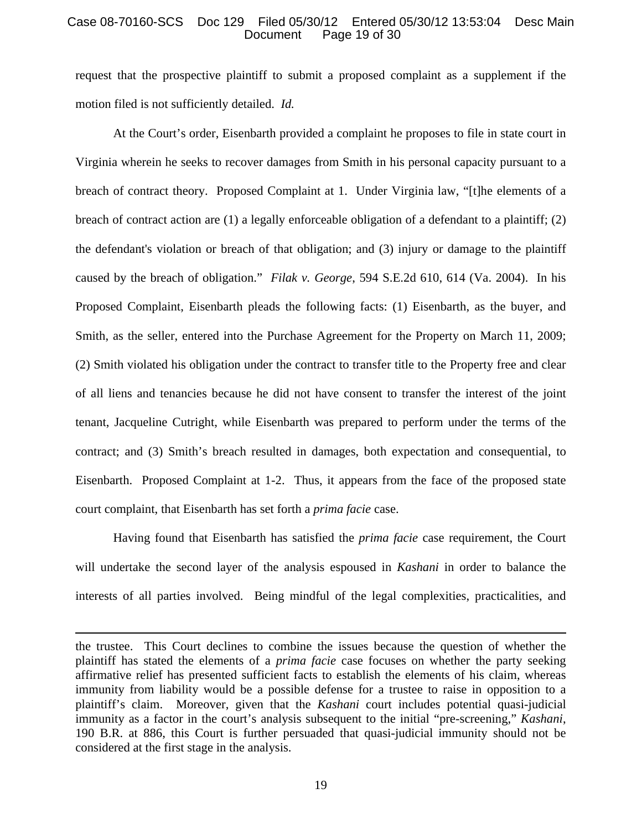# Case 08-70160-SCS Doc 129 Filed 05/30/12 Entered 05/30/12 13:53:04 Desc Main Page 19 of 30

request that the prospective plaintiff to submit a proposed complaint as a supplement if the motion filed is not sufficiently detailed. *Id.* 

At the Court's order, Eisenbarth provided a complaint he proposes to file in state court in Virginia wherein he seeks to recover damages from Smith in his personal capacity pursuant to a breach of contract theory. Proposed Complaint at 1. Under Virginia law, "[t]he elements of a breach of contract action are (1) a legally enforceable obligation of a defendant to a plaintiff; (2) the defendant's violation or breach of that obligation; and (3) injury or damage to the plaintiff caused by the breach of obligation." *Filak v. George*, 594 S.E.2d 610, 614 (Va. 2004). In his Proposed Complaint, Eisenbarth pleads the following facts: (1) Eisenbarth, as the buyer, and Smith, as the seller, entered into the Purchase Agreement for the Property on March 11, 2009; (2) Smith violated his obligation under the contract to transfer title to the Property free and clear of all liens and tenancies because he did not have consent to transfer the interest of the joint tenant, Jacqueline Cutright, while Eisenbarth was prepared to perform under the terms of the contract; and (3) Smith's breach resulted in damages, both expectation and consequential, to Eisenbarth. Proposed Complaint at 1-2. Thus, it appears from the face of the proposed state court complaint, that Eisenbarth has set forth a *prima facie* case.

Having found that Eisenbarth has satisfied the *prima facie* case requirement, the Court will undertake the second layer of the analysis espoused in *Kashani* in order to balance the interests of all parties involved. Being mindful of the legal complexities, practicalities, and

 $\overline{a}$ 

the trustee. This Court declines to combine the issues because the question of whether the plaintiff has stated the elements of a *prima facie* case focuses on whether the party seeking affirmative relief has presented sufficient facts to establish the elements of his claim, whereas immunity from liability would be a possible defense for a trustee to raise in opposition to a plaintiff's claim. Moreover, given that the *Kashani* court includes potential quasi-judicial immunity as a factor in the court's analysis subsequent to the initial "pre-screening," *Kashani*, 190 B.R. at 886, this Court is further persuaded that quasi-judicial immunity should not be considered at the first stage in the analysis.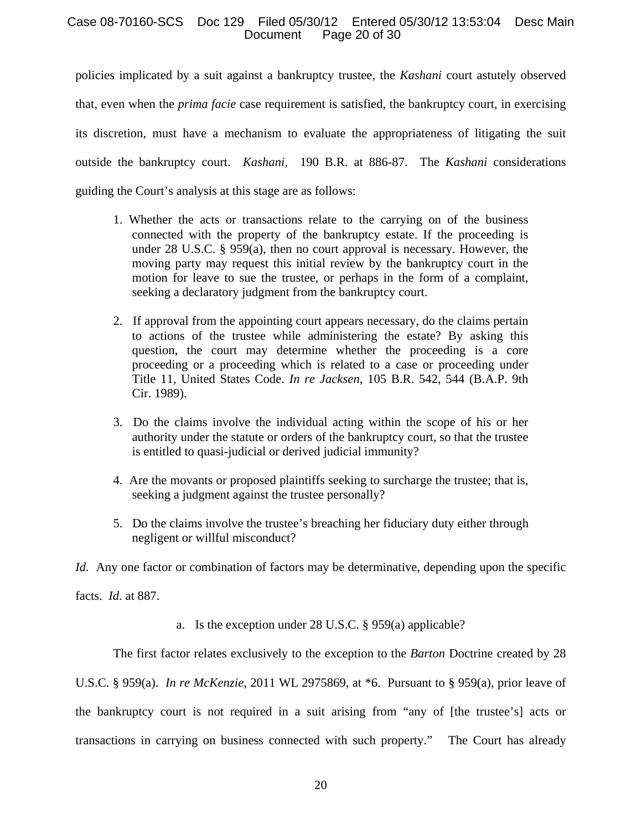# Case 08-70160-SCS Doc 129 Filed 05/30/12 Entered 05/30/12 13:53:04 Desc Main Page 20 of 30

policies implicated by a suit against a bankruptcy trustee, the *Kashani* court astutely observed that, even when the *prima facie* case requirement is satisfied, the bankruptcy court, in exercising its discretion, must have a mechanism to evaluate the appropriateness of litigating the suit outside the bankruptcy court. *Kashani*, 190 B.R. at 886-87. The *Kashani* considerations guiding the Court's analysis at this stage are as follows:

- 1. Whether the acts or transactions relate to the carrying on of the business connected with the property of the bankruptcy estate. If the proceeding is under 28 U.S.C. § 959(a), then no court approval is necessary. However, the moving party may request this initial review by the bankruptcy court in the motion for leave to sue the trustee, or perhaps in the form of a complaint, seeking a declaratory judgment from the bankruptcy court.
- 2. If approval from the appointing court appears necessary, do the claims pertain to actions of the trustee while administering the estate? By asking this question, the court may determine whether the proceeding is a core proceeding or a proceeding which is related to a case or proceeding under Title 11, United States Code. *In re Jacksen*, 105 B.R. 542, 544 (B.A.P. 9th Cir. 1989).
- 3. Do the claims involve the individual acting within the scope of his or her authority under the statute or orders of the bankruptcy court, so that the trustee is entitled to quasi-judicial or derived judicial immunity?
- 4. Are the movants or proposed plaintiffs seeking to surcharge the trustee; that is, seeking a judgment against the trustee personally?
- 5. Do the claims involve the trustee's breaching her fiduciary duty either through negligent or willful misconduct?

*Id.* Any one factor or combination of factors may be determinative, depending upon the specific

facts. *Id.* at 887.

a. Is the exception under 28 U.S.C. § 959(a) applicable?

The first factor relates exclusively to the exception to the *Barton* Doctrine created by 28

U.S.C. § 959(a). *In re McKenzie*, 2011 WL 2975869, at \*6. Pursuant to § 959(a), prior leave of the bankruptcy court is not required in a suit arising from "any of [the trustee's] acts or transactions in carrying on business connected with such property." The Court has already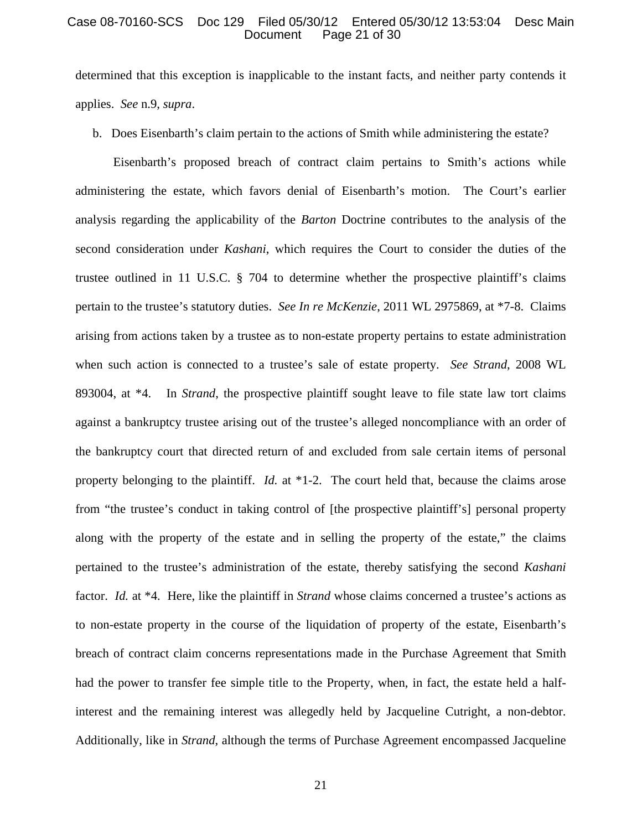### Case 08-70160-SCS Doc 129 Filed 05/30/12 Entered 05/30/12 13:53:04 Desc Main Page 21 of 30

determined that this exception is inapplicable to the instant facts, and neither party contends it applies. *See* n.9, *supra*.

b. Does Eisenbarth's claim pertain to the actions of Smith while administering the estate?

Eisenbarth's proposed breach of contract claim pertains to Smith's actions while administering the estate, which favors denial of Eisenbarth's motion. The Court's earlier analysis regarding the applicability of the *Barton* Doctrine contributes to the analysis of the second consideration under *Kashani*, which requires the Court to consider the duties of the trustee outlined in 11 U.S.C. § 704 to determine whether the prospective plaintiff's claims pertain to the trustee's statutory duties. *See In re McKenzie*, 2011 WL 2975869, at \*7-8. Claims arising from actions taken by a trustee as to non-estate property pertains to estate administration when such action is connected to a trustee's sale of estate property. *See Strand*, 2008 WL 893004, at \*4. In *Strand*, the prospective plaintiff sought leave to file state law tort claims against a bankruptcy trustee arising out of the trustee's alleged noncompliance with an order of the bankruptcy court that directed return of and excluded from sale certain items of personal property belonging to the plaintiff. *Id.* at \*1-2. The court held that, because the claims arose from "the trustee's conduct in taking control of [the prospective plaintiff's] personal property along with the property of the estate and in selling the property of the estate," the claims pertained to the trustee's administration of the estate, thereby satisfying the second *Kashani* factor. *Id.* at \*4. Here, like the plaintiff in *Strand* whose claims concerned a trustee's actions as to non-estate property in the course of the liquidation of property of the estate, Eisenbarth's breach of contract claim concerns representations made in the Purchase Agreement that Smith had the power to transfer fee simple title to the Property, when, in fact, the estate held a halfinterest and the remaining interest was allegedly held by Jacqueline Cutright, a non-debtor. Additionally, like in *Strand*, although the terms of Purchase Agreement encompassed Jacqueline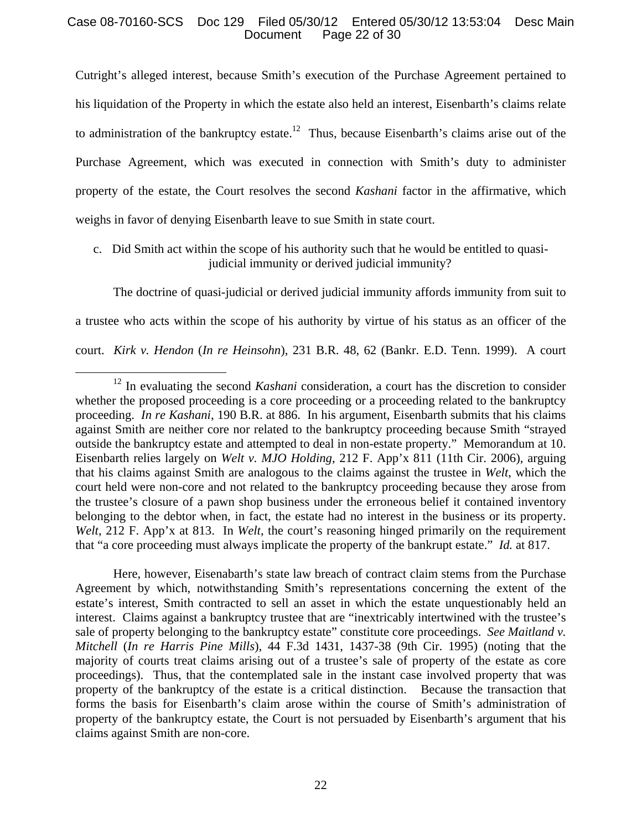# Case 08-70160-SCS Doc 129 Filed 05/30/12 Entered 05/30/12 13:53:04 Desc Main Page 22 of 30

Cutright's alleged interest, because Smith's execution of the Purchase Agreement pertained to his liquidation of the Property in which the estate also held an interest, Eisenbarth's claims relate to administration of the bankruptcy estate.<sup>12</sup> Thus, because Eisenbarth's claims arise out of the Purchase Agreement, which was executed in connection with Smith's duty to administer property of the estate, the Court resolves the second *Kashani* factor in the affirmative, which weighs in favor of denying Eisenbarth leave to sue Smith in state court.

c. Did Smith act within the scope of his authority such that he would be entitled to quasijudicial immunity or derived judicial immunity?

The doctrine of quasi-judicial or derived judicial immunity affords immunity from suit to a trustee who acts within the scope of his authority by virtue of his status as an officer of the court. *Kirk v. Hendon* (*In re Heinsohn*), 231 B.R. 48, 62 (Bankr. E.D. Tenn. 1999). A court

Here, however, Eisenabarth's state law breach of contract claim stems from the Purchase Agreement by which, notwithstanding Smith's representations concerning the extent of the estate's interest, Smith contracted to sell an asset in which the estate unquestionably held an interest. Claims against a bankruptcy trustee that are "inextricably intertwined with the trustee's sale of property belonging to the bankruptcy estate" constitute core proceedings. *See Maitland v. Mitchell* (*In re Harris Pine Mills*), 44 F.3d 1431, 1437-38 (9th Cir. 1995) (noting that the majority of courts treat claims arising out of a trustee's sale of property of the estate as core proceedings). Thus, that the contemplated sale in the instant case involved property that was property of the bankruptcy of the estate is a critical distinction. Because the transaction that forms the basis for Eisenbarth's claim arose within the course of Smith's administration of property of the bankruptcy estate, the Court is not persuaded by Eisenbarth's argument that his claims against Smith are non-core.

<sup>&</sup>lt;sup>12</sup> In evaluating the second *Kashani* consideration, a court has the discretion to consider whether the proposed proceeding is a core proceeding or a proceeding related to the bankruptcy proceeding. *In re Kashani*, 190 B.R. at 886. In his argument, Eisenbarth submits that his claims against Smith are neither core nor related to the bankruptcy proceeding because Smith "strayed outside the bankruptcy estate and attempted to deal in non-estate property." Memorandum at 10. Eisenbarth relies largely on *Welt v. MJO Holding*, 212 F. App'x 811 (11th Cir. 2006), arguing that his claims against Smith are analogous to the claims against the trustee in *Welt*, which the court held were non-core and not related to the bankruptcy proceeding because they arose from the trustee's closure of a pawn shop business under the erroneous belief it contained inventory belonging to the debtor when, in fact, the estate had no interest in the business or its property. *Welt*, 212 F. App'x at 813. In *Welt*, the court's reasoning hinged primarily on the requirement that "a core proceeding must always implicate the property of the bankrupt estate." *Id.* at 817.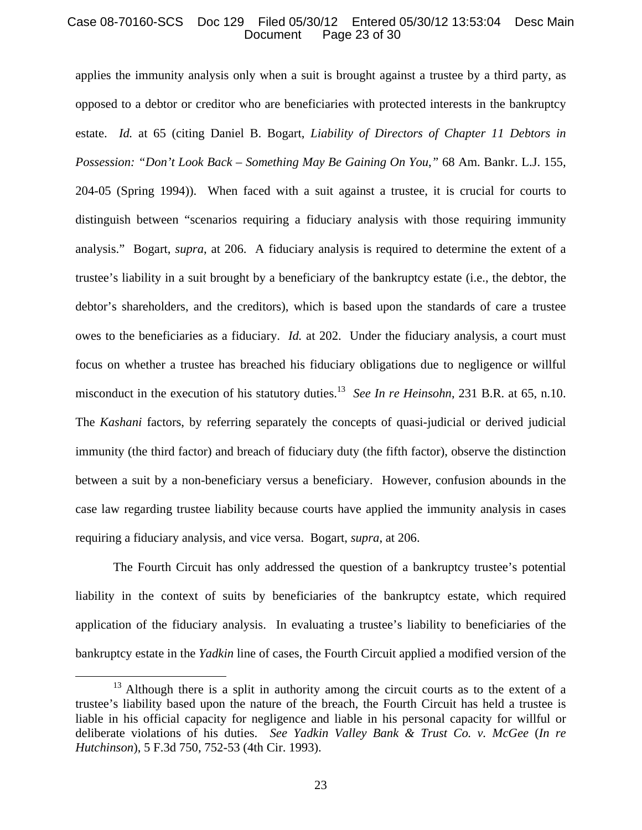# Case 08-70160-SCS Doc 129 Filed 05/30/12 Entered 05/30/12 13:53:04 Desc Main Page 23 of 30

applies the immunity analysis only when a suit is brought against a trustee by a third party, as opposed to a debtor or creditor who are beneficiaries with protected interests in the bankruptcy estate. *Id.* at 65 (citing Daniel B. Bogart, *Liability of Directors of Chapter 11 Debtors in Possession: "Don't Look Back – Something May Be Gaining On You*,*"* 68 Am. Bankr. L.J. 155, 204-05 (Spring 1994)). When faced with a suit against a trustee, it is crucial for courts to distinguish between "scenarios requiring a fiduciary analysis with those requiring immunity analysis." Bogart, *supra*, at 206. A fiduciary analysis is required to determine the extent of a trustee's liability in a suit brought by a beneficiary of the bankruptcy estate (i.e., the debtor, the debtor's shareholders, and the creditors), which is based upon the standards of care a trustee owes to the beneficiaries as a fiduciary. *Id.* at 202. Under the fiduciary analysis, a court must focus on whether a trustee has breached his fiduciary obligations due to negligence or willful misconduct in the execution of his statutory duties.13 *See In re Heinsohn*, 231 B.R. at 65, n.10. The *Kashani* factors, by referring separately the concepts of quasi-judicial or derived judicial immunity (the third factor) and breach of fiduciary duty (the fifth factor), observe the distinction between a suit by a non-beneficiary versus a beneficiary. However, confusion abounds in the case law regarding trustee liability because courts have applied the immunity analysis in cases requiring a fiduciary analysis, and vice versa. Bogart, *supra*, at 206.

The Fourth Circuit has only addressed the question of a bankruptcy trustee's potential liability in the context of suits by beneficiaries of the bankruptcy estate, which required application of the fiduciary analysis. In evaluating a trustee's liability to beneficiaries of the bankruptcy estate in the *Yadkin* line of cases, the Fourth Circuit applied a modified version of the

<sup>&</sup>lt;sup>13</sup> Although there is a split in authority among the circuit courts as to the extent of a trustee's liability based upon the nature of the breach, the Fourth Circuit has held a trustee is liable in his official capacity for negligence and liable in his personal capacity for willful or deliberate violations of his duties. *See Yadkin Valley Bank & Trust Co. v. McGee* (*In re Hutchinson*), 5 F.3d 750, 752-53 (4th Cir. 1993).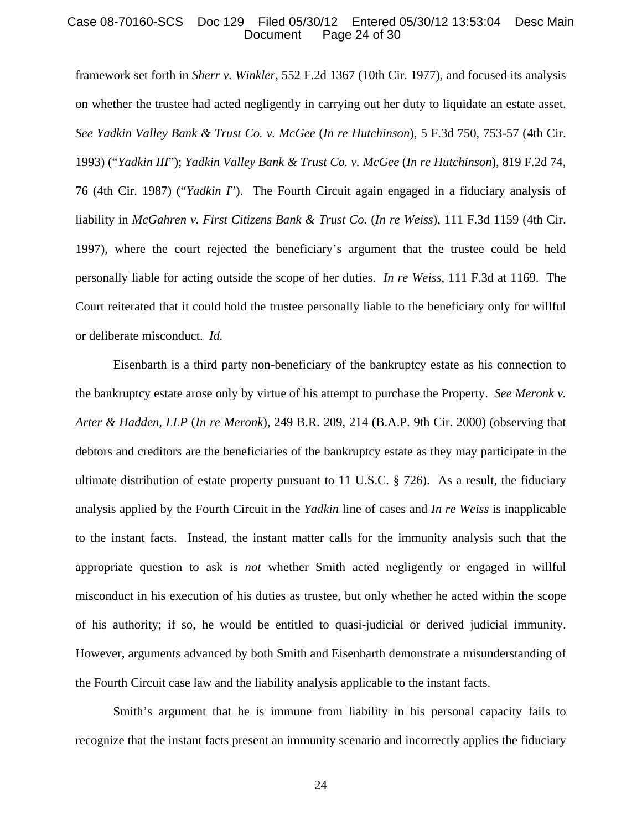# Case 08-70160-SCS Doc 129 Filed 05/30/12 Entered 05/30/12 13:53:04 Desc Main Page 24 of 30

framework set forth in *Sherr v. Winkler*, 552 F.2d 1367 (10th Cir. 1977), and focused its analysis on whether the trustee had acted negligently in carrying out her duty to liquidate an estate asset. *See Yadkin Valley Bank & Trust Co. v. McGee* (*In re Hutchinson*), 5 F.3d 750, 753-57 (4th Cir. 1993) ("*Yadkin III*"); *Yadkin Valley Bank & Trust Co. v. McGee* (*In re Hutchinson*), 819 F.2d 74, 76 (4th Cir. 1987) ("*Yadkin I*"). The Fourth Circuit again engaged in a fiduciary analysis of liability in *McGahren v. First Citizens Bank & Trust Co.* (*In re Weiss*), 111 F.3d 1159 (4th Cir. 1997), where the court rejected the beneficiary's argument that the trustee could be held personally liable for acting outside the scope of her duties. *In re Weiss*, 111 F.3d at 1169. The Court reiterated that it could hold the trustee personally liable to the beneficiary only for willful or deliberate misconduct. *Id.*

Eisenbarth is a third party non-beneficiary of the bankruptcy estate as his connection to the bankruptcy estate arose only by virtue of his attempt to purchase the Property. *See Meronk v. Arter & Hadden, LLP* (*In re Meronk*), 249 B.R. 209, 214 (B.A.P. 9th Cir. 2000) (observing that debtors and creditors are the beneficiaries of the bankruptcy estate as they may participate in the ultimate distribution of estate property pursuant to 11 U.S.C. § 726). As a result, the fiduciary analysis applied by the Fourth Circuit in the *Yadkin* line of cases and *In re Weiss* is inapplicable to the instant facts. Instead, the instant matter calls for the immunity analysis such that the appropriate question to ask is *not* whether Smith acted negligently or engaged in willful misconduct in his execution of his duties as trustee, but only whether he acted within the scope of his authority; if so, he would be entitled to quasi-judicial or derived judicial immunity. However, arguments advanced by both Smith and Eisenbarth demonstrate a misunderstanding of the Fourth Circuit case law and the liability analysis applicable to the instant facts.

 Smith's argument that he is immune from liability in his personal capacity fails to recognize that the instant facts present an immunity scenario and incorrectly applies the fiduciary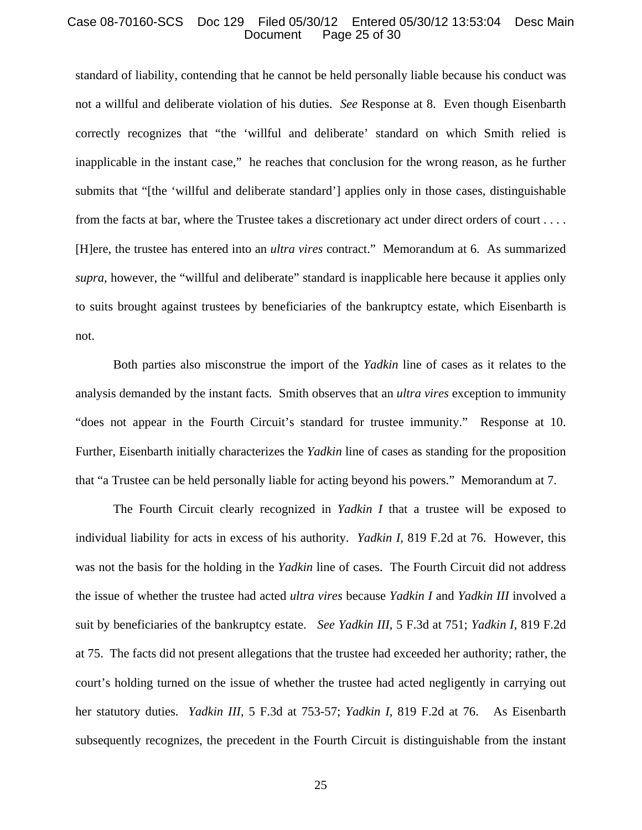### Case 08-70160-SCS Doc 129 Filed 05/30/12 Entered 05/30/12 13:53:04 Desc Main Page 25 of 30

standard of liability, contending that he cannot be held personally liable because his conduct was not a willful and deliberate violation of his duties. *See* Response at 8. Even though Eisenbarth correctly recognizes that "the 'willful and deliberate' standard on which Smith relied is inapplicable in the instant case," he reaches that conclusion for the wrong reason, as he further submits that "[the 'willful and deliberate standard'] applies only in those cases, distinguishable from the facts at bar, where the Trustee takes a discretionary act under direct orders of court . . . . [H]ere, the trustee has entered into an *ultra vires* contract." Memorandum at 6. As summarized *supra*, however, the "willful and deliberate" standard is inapplicable here because it applies only to suits brought against trustees by beneficiaries of the bankruptcy estate, which Eisenbarth is not.

Both parties also misconstrue the import of the *Yadkin* line of cases as it relates to the analysis demanded by the instant facts*.* Smith observes that an *ultra vires* exception to immunity "does not appear in the Fourth Circuit's standard for trustee immunity." Response at 10. Further, Eisenbarth initially characterizes the *Yadkin* line of cases as standing for the proposition that "a Trustee can be held personally liable for acting beyond his powers." Memorandum at 7.

The Fourth Circuit clearly recognized in *Yadkin I* that a trustee will be exposed to individual liability for acts in excess of his authority. *Yadkin I,* 819 F.2d at 76. However, this was not the basis for the holding in the *Yadkin* line of cases. The Fourth Circuit did not address the issue of whether the trustee had acted *ultra vires* because *Yadkin I* and *Yadkin III* involved a suit by beneficiaries of the bankruptcy estate. *See Yadkin III*, 5 F.3d at 751; *Yadkin I*, 819 F.2d at 75. The facts did not present allegations that the trustee had exceeded her authority; rather, the court's holding turned on the issue of whether the trustee had acted negligently in carrying out her statutory duties. *Yadkin III*, 5 F.3d at 753-57; *Yadkin I*, 819 F.2d at 76. As Eisenbarth subsequently recognizes, the precedent in the Fourth Circuit is distinguishable from the instant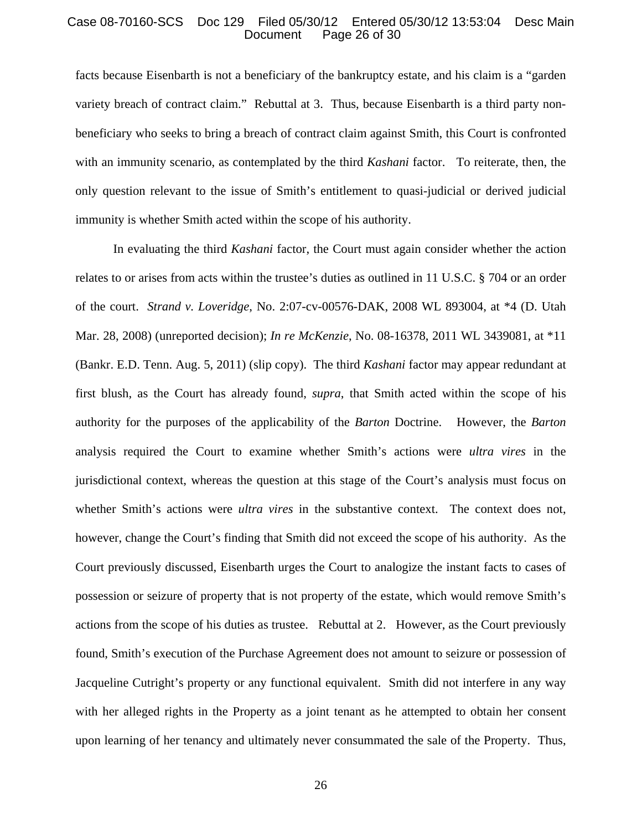### Case 08-70160-SCS Doc 129 Filed 05/30/12 Entered 05/30/12 13:53:04 Desc Main Page 26 of 30

facts because Eisenbarth is not a beneficiary of the bankruptcy estate, and his claim is a "garden variety breach of contract claim." Rebuttal at 3. Thus, because Eisenbarth is a third party nonbeneficiary who seeks to bring a breach of contract claim against Smith, this Court is confronted with an immunity scenario, as contemplated by the third *Kashani* factor. To reiterate, then, the only question relevant to the issue of Smith's entitlement to quasi-judicial or derived judicial immunity is whether Smith acted within the scope of his authority.

In evaluating the third *Kashani* factor, the Court must again consider whether the action relates to or arises from acts within the trustee's duties as outlined in 11 U.S.C. § 704 or an order of the court. *Strand v. Loveridge*, No. 2:07-cv-00576-DAK, 2008 WL 893004, at \*4 (D. Utah Mar. 28, 2008) (unreported decision); *In re McKenzie*, No. 08-16378, 2011 WL 3439081, at \*11 (Bankr. E.D. Tenn. Aug. 5, 2011) (slip copy). The third *Kashani* factor may appear redundant at first blush, as the Court has already found, *supra*, that Smith acted within the scope of his authority for the purposes of the applicability of the *Barton* Doctrine. However, the *Barton* analysis required the Court to examine whether Smith's actions were *ultra vires* in the jurisdictional context, whereas the question at this stage of the Court's analysis must focus on whether Smith's actions were *ultra vires* in the substantive context. The context does not, however, change the Court's finding that Smith did not exceed the scope of his authority. As the Court previously discussed, Eisenbarth urges the Court to analogize the instant facts to cases of possession or seizure of property that is not property of the estate, which would remove Smith's actions from the scope of his duties as trustee. Rebuttal at 2. However, as the Court previously found, Smith's execution of the Purchase Agreement does not amount to seizure or possession of Jacqueline Cutright's property or any functional equivalent. Smith did not interfere in any way with her alleged rights in the Property as a joint tenant as he attempted to obtain her consent upon learning of her tenancy and ultimately never consummated the sale of the Property. Thus,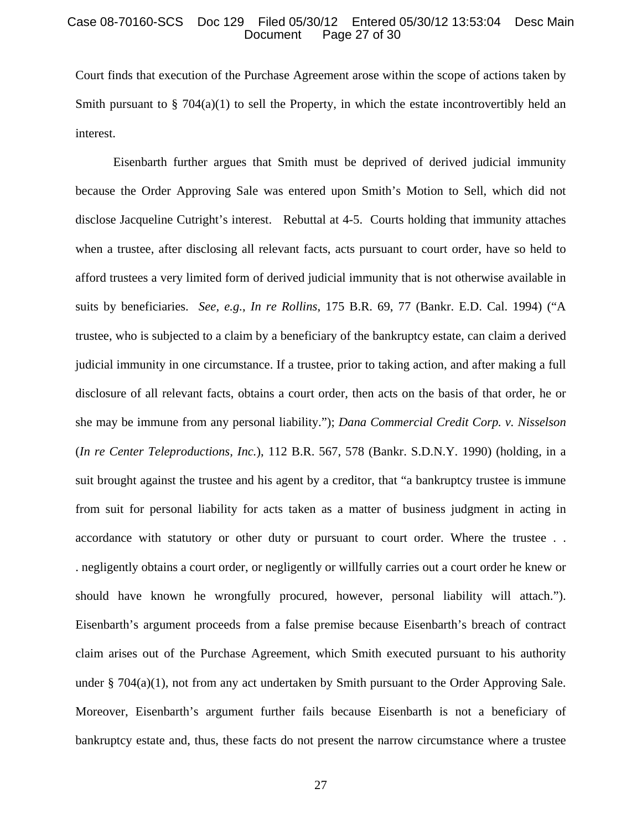### Case 08-70160-SCS Doc 129 Filed 05/30/12 Entered 05/30/12 13:53:04 Desc Main Page 27 of 30

Court finds that execution of the Purchase Agreement arose within the scope of actions taken by Smith pursuant to  $\S$  704(a)(1) to sell the Property, in which the estate incontrovertibly held an interest.

Eisenbarth further argues that Smith must be deprived of derived judicial immunity because the Order Approving Sale was entered upon Smith's Motion to Sell, which did not disclose Jacqueline Cutright's interest. Rebuttal at 4-5. Courts holding that immunity attaches when a trustee, after disclosing all relevant facts, acts pursuant to court order, have so held to afford trustees a very limited form of derived judicial immunity that is not otherwise available in suits by beneficiaries. *See, e.g.*, *In re Rollins*, 175 B.R. 69, 77 (Bankr. E.D. Cal. 1994) ("A trustee, who is subjected to a claim by a beneficiary of the bankruptcy estate, can claim a derived judicial immunity in one circumstance. If a trustee, prior to taking action, and after making a full disclosure of all relevant facts, obtains a court order, then acts on the basis of that order, he or she may be immune from any personal liability."); *Dana Commercial Credit Corp. v. Nisselson* (*In re Center Teleproductions, Inc.*), 112 B.R. 567, 578 (Bankr. S.D.N.Y. 1990) (holding, in a suit brought against the trustee and his agent by a creditor, that "a bankruptcy trustee is immune from suit for personal liability for acts taken as a matter of business judgment in acting in accordance with statutory or other duty or pursuant to court order. Where the trustee . . . negligently obtains a court order, or negligently or willfully carries out a court order he knew or should have known he wrongfully procured, however, personal liability will attach."). Eisenbarth's argument proceeds from a false premise because Eisenbarth's breach of contract claim arises out of the Purchase Agreement, which Smith executed pursuant to his authority under  $\S$  704(a)(1), not from any act undertaken by Smith pursuant to the Order Approving Sale. Moreover, Eisenbarth's argument further fails because Eisenbarth is not a beneficiary of bankruptcy estate and, thus, these facts do not present the narrow circumstance where a trustee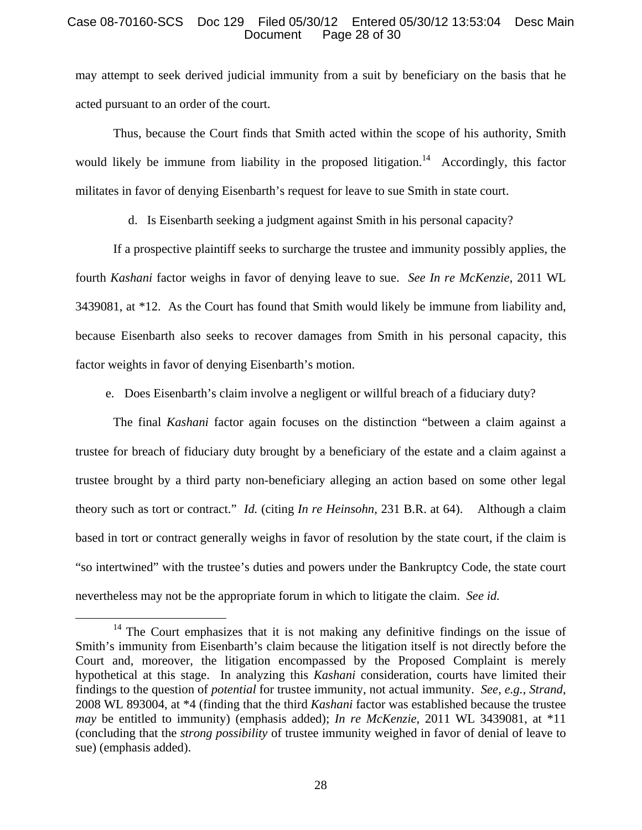# Case 08-70160-SCS Doc 129 Filed 05/30/12 Entered 05/30/12 13:53:04 Desc Main Page 28 of 30

may attempt to seek derived judicial immunity from a suit by beneficiary on the basis that he acted pursuant to an order of the court.

Thus, because the Court finds that Smith acted within the scope of his authority, Smith would likely be immune from liability in the proposed litigation.<sup>14</sup> Accordingly, this factor militates in favor of denying Eisenbarth's request for leave to sue Smith in state court.

d. Is Eisenbarth seeking a judgment against Smith in his personal capacity?

If a prospective plaintiff seeks to surcharge the trustee and immunity possibly applies, the fourth *Kashani* factor weighs in favor of denying leave to sue. *See In re McKenzie*, 2011 WL 3439081, at \*12. As the Court has found that Smith would likely be immune from liability and, because Eisenbarth also seeks to recover damages from Smith in his personal capacity, this factor weights in favor of denying Eisenbarth's motion.

e. Does Eisenbarth's claim involve a negligent or willful breach of a fiduciary duty?

The final *Kashani* factor again focuses on the distinction "between a claim against a trustee for breach of fiduciary duty brought by a beneficiary of the estate and a claim against a trustee brought by a third party non-beneficiary alleging an action based on some other legal theory such as tort or contract." *Id.* (citing *In re Heinsohn*, 231 B.R. at 64). Although a claim based in tort or contract generally weighs in favor of resolution by the state court, if the claim is "so intertwined" with the trustee's duties and powers under the Bankruptcy Code, the state court nevertheless may not be the appropriate forum in which to litigate the claim. *See id.*

 $14$  The Court emphasizes that it is not making any definitive findings on the issue of Smith's immunity from Eisenbarth's claim because the litigation itself is not directly before the Court and, moreover, the litigation encompassed by the Proposed Complaint is merely hypothetical at this stage. In analyzing this *Kashani* consideration, courts have limited their findings to the question of *potential* for trustee immunity, not actual immunity. *See, e.g.*, *Strand*, 2008 WL 893004, at \*4 (finding that the third *Kashani* factor was established because the trustee *may* be entitled to immunity) (emphasis added); *In re McKenzie*, 2011 WL 3439081, at \*11 (concluding that the *strong possibility* of trustee immunity weighed in favor of denial of leave to sue) (emphasis added).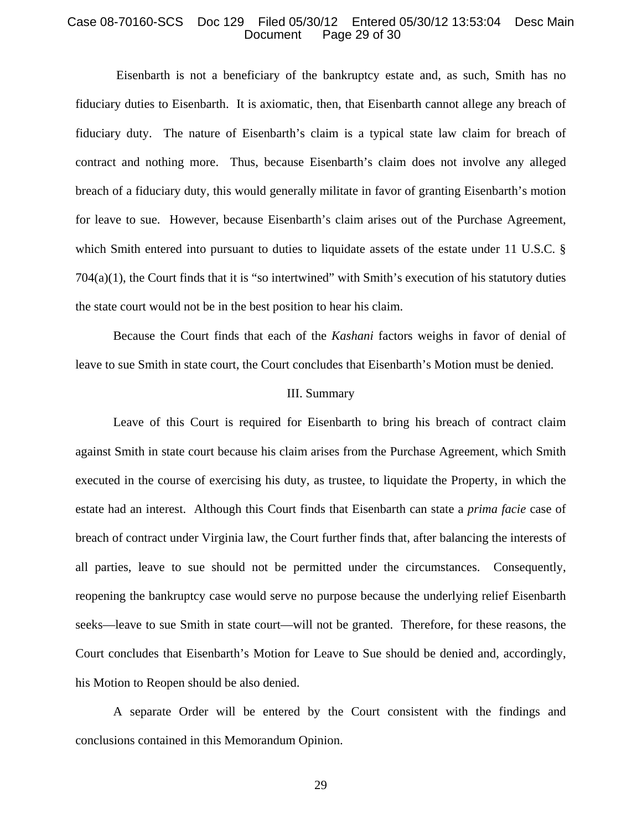### Case 08-70160-SCS Doc 129 Filed 05/30/12 Entered 05/30/12 13:53:04 Desc Main Page 29 of 30

 Eisenbarth is not a beneficiary of the bankruptcy estate and, as such, Smith has no fiduciary duties to Eisenbarth. It is axiomatic, then, that Eisenbarth cannot allege any breach of fiduciary duty. The nature of Eisenbarth's claim is a typical state law claim for breach of contract and nothing more. Thus, because Eisenbarth's claim does not involve any alleged breach of a fiduciary duty, this would generally militate in favor of granting Eisenbarth's motion for leave to sue. However, because Eisenbarth's claim arises out of the Purchase Agreement, which Smith entered into pursuant to duties to liquidate assets of the estate under 11 U.S.C. § 704(a)(1), the Court finds that it is "so intertwined" with Smith's execution of his statutory duties the state court would not be in the best position to hear his claim.

Because the Court finds that each of the *Kashani* factors weighs in favor of denial of leave to sue Smith in state court, the Court concludes that Eisenbarth's Motion must be denied.

#### III. Summary

Leave of this Court is required for Eisenbarth to bring his breach of contract claim against Smith in state court because his claim arises from the Purchase Agreement, which Smith executed in the course of exercising his duty, as trustee, to liquidate the Property, in which the estate had an interest. Although this Court finds that Eisenbarth can state a *prima facie* case of breach of contract under Virginia law, the Court further finds that, after balancing the interests of all parties, leave to sue should not be permitted under the circumstances. Consequently, reopening the bankruptcy case would serve no purpose because the underlying relief Eisenbarth seeks—leave to sue Smith in state court—will not be granted. Therefore, for these reasons, the Court concludes that Eisenbarth's Motion for Leave to Sue should be denied and, accordingly, his Motion to Reopen should be also denied.

A separate Order will be entered by the Court consistent with the findings and conclusions contained in this Memorandum Opinion.

29